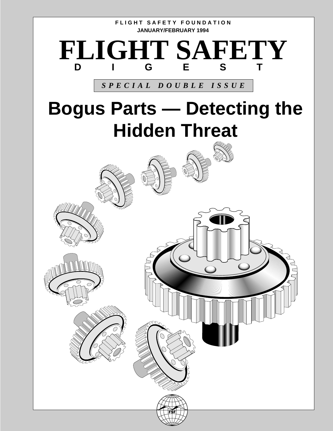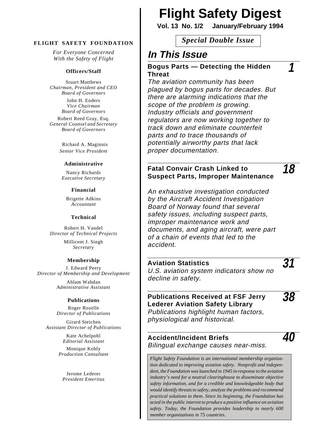*For Everyone Concerned With the Safety of Flight*

#### **Officers/Staff**

Stuart Matthews *Chairman, President and CEO Board of Governors*

John H. Enders *Vice Chairman Board of Governors*

Robert Reed Gray, Esq. *General Counsel and Secretary Board of Governors*

> Richard A. Maginnis *Senior Vice President*

#### **Administrative**

Nancy Richards *Executive Secretary*

#### **Financial**

Brigette Adkins *Accountant*

#### **Technical**

Robert H. Vandel *Director of Technical Projects*

> Millicent J. Singh *Secretary*

#### **Membership**

J. Edward Peery *Director of Membership and Development*

> Ahlam Wahdan *Administrative Assistant*

#### **Publications**

Roger Rozelle *Director of Publications*

Girard Steichen *Assistant Director of Publications*

> Kate Achelpohl *Editorial Assistant*

Monique Kohly *Production Consultant*

Jerome Lederer *President Emeritus*

# **Flight Safety Digest**

**Vol. 13 No. 1/2 January/February 1994**

*Special Double Issue* **FLIGHT SAFETY FOUNDATION**

### **In This Issue**

#### **Bogus Parts — Detecting the Hidden Threat**

The aviation community has been plagued by bogus parts for decades. But there are alarming indications that the scope of the problem is growing. Industry officials and government regulators are now working together to track down and eliminate counterfeit parts and to trace thousands of potentially airworthy parts that lack proper documentation.

#### **Fatal Convair Crash Linked to Suspect Parts, Improper Maintenance**

An exhaustive investigation conducted by the Aircraft Accident Investigation Board of Norway found that several safety issues, including suspect parts, improper maintenance work and documents, and aging aircraft, were part of a chain of events that led to the accident.

#### **Aviation Statistics**

U.S. aviation system indicators show no decline in safety.

#### **Publications Received at FSF Jerry Lederer Aviation Safety Library**

**38**

**40**

**31**

**1**

**18**

Publications highlight human factors, physiological and historical.

#### **Accident/Incident Briefs** Bilingual exchange causes near-miss.

*Flight Safety Foundation is an international membership organization dedicated to improving aviation safety. Nonprofit and independent, the Foundation was launched in 1945 in response to the aviation industry's need for a neutral clearinghouse to disseminate objective safety information, and for a credible and knowledgeable body that would identify threats to safety, analyze the problems and recommend practical solutions to them. Since its beginning, the Foundation has acted in the public interest to produce a positive influence on aviation safety. Today, the Foundation provides leadership to nearly 600 member organizations in 75 countries.*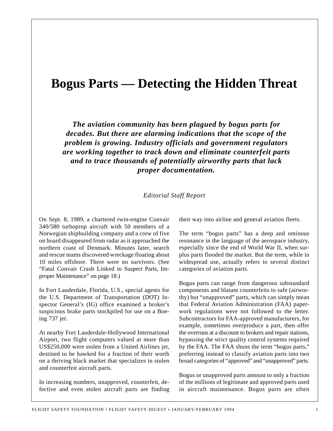## **Bogus Parts — Detecting the Hidden Threat**

*The aviation community has been plagued by bogus parts for decades. But there are alarming indications that the scope of the problem is growing. Industry officials and government regulators are working together to track down and eliminate counterfeit parts and to trace thousands of potentially airworthy parts that lack proper documentation.*

#### *Editorial Staff Report*

On Sept. 8, 1989, a chartered twin-engine Convair 340/580 turboprop aircraft with 50 members of a Norwegian shipbuilding company and a crew of five on board disappeared from radar as it approached the northern coast of Denmark. Minutes later, search and rescue teams discovered wreckage floating about 10 miles offshore. There were no survivors. (See "Fatal Convair Crash Linked to Suspect Parts, Improper Maintenance" on page 18.)

In Fort Lauderdale, Florida, U.S., special agents for the U.S. Department of Transportation (DOT) Inspector General's (IG) office examined a broker's suspicious brake parts stockpiled for use on a Boeing 737 jet.

At nearby Fort Lauderdale-Hollywood International Airport, two flight computers valued at more than US\$250,000 were stolen from a United Airlines jet, destined to be hawked for a fraction of their worth on a thriving black market that specializes in stolen and counterfeit aircraft parts.

In increasing numbers, unapproved, counterfeit, defective and even stolen aircraft parts are finding their way into airline and general aviation fleets.

The term "bogus parts" has a deep and ominous resonance in the language of the aerospace industry, especially since the end of World War II, when surplus parts flooded the market. But the term, while in widespread use, actually refers to several distinct categories of aviation parts.

Bogus parts can range from dangerous substandard components and blatant counterfeits to safe (airworthy) but "unapproved" parts, which can simply mean that Federal Aviation Administration (FAA) paperwork regulations were not followed to the letter. Subcontractors for FAA-approved manufacturers, for example, sometimes overproduce a part, then offer the overruns at a discount to brokers and repair stations, bypassing the strict quality control systems required by the FAA. The FAA shuns the term "bogus parts," preferring instead to classify aviation parts into two broad categories of "approved" and "unapproved" parts.

Bogus or unapproved parts amount to only a fraction of the millions of legitimate and approved parts used in aircraft maintenance. Bogus parts are often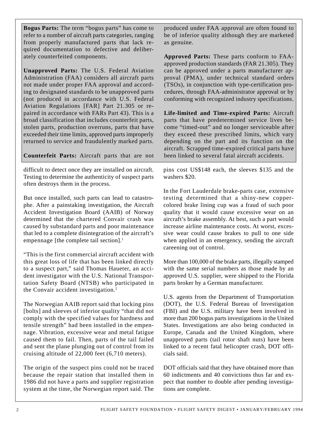**Bogus Parts:** The term "bogus parts" has come to refer to a number of aircraft parts categories, ranging from properly manufactured parts that lack required documentation to defective and deliberately counterfeited components.

**Unapproved Parts:** The U.S. Federal Aviation Administration (FAA) considers all aircraft parts not made under proper FAA approval and according to designated standards to be unapproved parts (not produced in accordance with U.S. Federal Aviation Regulations [FAR] Part 21.305 or repaired in accordance with FARs Part 43). This is a broad classification that includes counterfeit parts, stolen parts, production overruns, parts that have exceeded their time limits, approved parts improperly returned to service and fraudulently marked parts.

**Counterfeit Parts:** Aircraft parts that are not

difficult to detect once they are installed on aircraft. Testing to determine the authenticity of suspect parts often destroys them in the process.

But once installed, such parts can lead to catastrophe. After a painstaking investigation, the Aircraft Accident Investigation Board (AAIB) of Norway determined that the chartered Convair crash was caused by substandard parts and poor maintenance that led to a complete disintegration of the aircraft's empennage [the complete tail section].<sup>1</sup>

"This is the first commercial aircraft accident with this great loss of life that has been linked directly to a suspect part," said Thomas Haueter, an accident investigator with the U.S. National Transportation Safety Board (NTSB) who participated in the Convair accident investigation.2

The Norwegian AAIB report said that locking pins [bolts] and sleeves of inferior quality "that did not comply with the specified values for hardness and tensile strength" had been installed in the empennage. Vibration, excessive wear and metal fatigue caused them to fail. Then, parts of the tail failed and sent the plane plunging out of control from its cruising altitude of 22,000 feet (6,710 meters).

The origin of the suspect pins could not be traced because the repair station that installed them in 1986 did not have a parts and supplier registration system at the time, the Norwegian report said. The

produced under FAA approval are often found to be of inferior quality although they are marketed as genuine.

**Approved Parts:** These parts conform to FAAapproved production standards (FAR 21.305). They can be approved under a parts manufacturer approval (PMA), under technical standard orders (TSOs), in conjunction with type-certification procedures, through FAA-administrator approval or by conforming with recognized industry specifications.

**Life-limited and Time-expired Parts:** Aircraft parts that have predetermined service lives become "timed-out" and no longer serviceable after they exceed these prescribed limits, which vary depending on the part and its function on the aircraft. Scrapped time-expired critical parts have been linked to several fatal aircraft accidents.

pins cost US\$148 each, the sleeves \$135 and the washers \$20.

In the Fort Lauderdale brake-parts case, extensive testing determined that a shiny-new coppercolored brake lining cup was a fraud of such poor quality that it would cause excessive wear on an aircraft's brake assembly. At best, such a part would increase airline maintenance costs. At worst, excessive wear could cause brakes to pull to one side when applied in an emergency, sending the aircraft careening out of control.

More than 100,000 of the brake parts, illegally stamped with the same serial numbers as those made by an approved U.S. supplier, were shipped to the Florida parts broker by a German manufacturer.

U.S. agents from the Department of Transportation (DOT), the U.S. Federal Bureau of Investigation (FBI) and the U.S. military have been involved in more than 200 bogus parts investigations in the United States. Investigations are also being conducted in Europe, Canada and the United Kingdom, where unapproved parts (tail rotor shaft nuts) have been linked to a recent fatal helicopter crash, DOT officials said.

DOT officials said that they have obtained more than 60 indictments and 40 convictions thus far and expect that number to double after pending investigations are complete.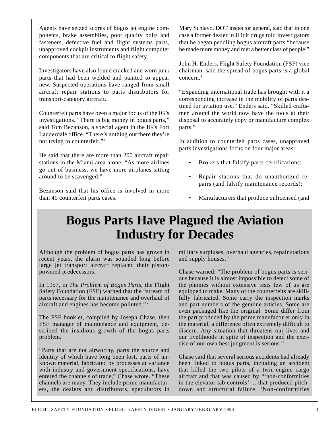Agents have seized scores of bogus jet engine components, brake assemblies, poor quality bolts and fasteners, defective fuel and flight systems parts, unapproved cockpit instruments and flight computer components that are critical to flight safety.

Investigators have also found cracked and worn junk parts that had been welded and painted to appear new. Suspected operations have ranged from small aircraft repair stations to parts distributors for transport-category aircraft.

Counterfeit parts have been a major focus of the IG's investigations. "There is big money in bogus parts," said Tom Bezanson, a special agent in the IG's Fort Lauderdale office. "There's nothing out there they're not trying to counterfeit."3

He said that there are more than 200 aircraft repair stations in the Miami area alone. "As more airlines go out of business, we have more airplanes sitting around to be scavenged."

Bezanson said that his office is involved in more than 40 counterfeit parts cases.

Mary Schiavo, DOT inspector general, said that in one case a former dealer in illicit drugs told investigators that he began peddling bogus aircraft parts "because he made more money and met a better class of people."

John H. Enders, Flight Safety Foundation (FSF) vice chairman, said the spread of bogus parts is a global concern.4

"Expanding international trade has brought with it a corresponding increase in the mobility of parts destined for aviation use," Enders said. "Skilled craftsmen around the world now have the tools at their disposal to accurately copy or manufacture complex parts."

In addition to counterfeit parts cases, unapproved parts investigations focus on four major areas:

- Brokers that falsify parts certifications;
- Repair stations that do unauthorized repairs (and falsify maintenance records);
- Manufacturers that produce unlicensed (and

## **Bogus Parts Have Plagued the Aviation Industry for Decades**

Although the problem of bogus parts has grown in recent years, the alarm was sounded long before large jet transport aircraft replaced their pistonpowered predecessors.

In 1957, in *The Problem of Bogus Parts*, the Flight Safety Foundation (FSF) warned that the "stream of parts necessary for the maintenance and overhaul of aircraft and engines has become polluted."5

The FSF booklet, compiled by Joseph Chase, then FSF manager of maintenance and equipment, described the insidious growth of the bogus parts problem.

"Parts that are not airworthy, parts the source and identity of which have long been lost, parts of unknown material, fabricated by processes at variance with industry and government specifications, have entered the channels of trade," Chase wrote. "These channels are many. They include prime manufacturers, the dealers and distributors, speculators in military surpluses, overhaul agencies, repair stations and supply houses."

Chase warned: "The problem of bogus parts is serious because it is almost impossible to detect some of the phonies without extensive tests few of us are equipped to make. Many of the counterfeits are skillfully fabricated. Some carry the inspection marks and part numbers of the genuine articles. Some are even packaged like the original. Some differ from the part produced by the prime manufacturer only in the material, a difference often extremely difficult to discern. Any situation that threatens our lives and our livelihoods in spite of inspection and the exercise of our own best judgment is serious."

Chase said that several serious accidents had already been linked to bogus parts, including an accident that killed the two pilots of a twin-engine cargo aircraft and that was caused by "'non-conformities in the elevator tab controls' ... that produced pitchdown and structural failure. 'Non-conformities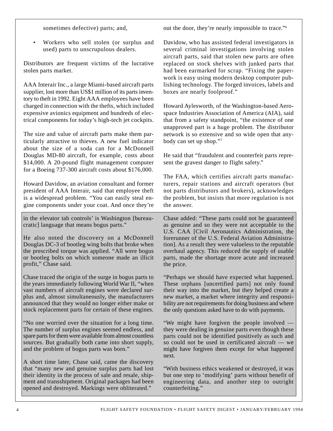sometimes defective) parts; and,

out the door, they're nearly impossible to trace."6

• Workers who sell stolen (or surplus and used) parts to unscrupulous dealers.

Distributors are frequent victims of the lucrative stolen parts market.

AAA Interair Inc., a large Miami-based aircraft parts supplier, lost more than US\$1 million of its parts inventory to theft in 1992. Eight AAA employees have been charged in connection with the thefts, which included expensive avionics equipment and hundreds of electrical components for today's high-tech jet cockpits.

The size and value of aircraft parts make them particularly attractive to thieves. A new fuel indicator about the size of a soda can for a McDonnell Douglas MD-80 aircraft, for example, costs about \$14,000. A 20-pound flight management computer for a Boeing 737-300 aircraft costs about \$176,000.

Howard Davidow, an aviation consultant and former president of AAA Interair, said that employee theft is a widespread problem. "You can easily steal engine components under your coat. And once they're

in the elevator tab controls' is Washington [bureaucratic] language that means bogus parts."

He also noted the discovery on a McDonnell Douglas DC-3 of bootleg wing bolts that broke when the prescribed torque was applied. "All were bogus or bootleg bolts on which someone made an illicit profit," Chase said.

Chase traced the origin of the surge in bogus parts to the years immediately following World War II, "when vast numbers of aircraft engines were declared surplus and, almost simultaneously, the manufacturers announced that they would no longer either make or stock replacement parts for certain of these engines.

"No one worried over the situation for a long time. The number of surplus engines seemed endless, and spare parts for them were available from almost countless sources. But gradually both came into short supply, and the problem of bogus parts was born."

A short time later, Chase said, came the discovery that "many new and genuine surplus parts had lost their identity in the process of sale and resale, shipment and transshipment. Original packages had been opened and destroyed. Markings were obliterated."

Davidow, who has assisted federal investigators in several criminal investigations involving stolen aircraft parts, said that stolen new parts are often replaced on stock shelves with junked parts that had been earmarked for scrap. "Fixing the paperwork is easy using modern desktop computer publishing technology. The forged invoices, labels and boxes are nearly foolproof."

Howard Aylesworth, of the Washington-based Aerospace Industries Association of America (AIA), said that from a safety standpoint, "the existence of one unapproved part is a huge problem. The distributor network is so extensive and so wide open that anybody can set up shop."7

He said that "fraudulent and counterfeit parts represent the gravest danger to flight safety."

The FAA, which certifies aircraft parts manufacturers, repair stations and aircraft operators (but not parts distributors and brokers), acknowledges the problem, but insists that more regulation is not the answer.

Chase added: "These parts could not be guaranteed as genuine and so they were not acceptable to the U.S. CAA [Civil Aeronautics Administration, the forerunner of the U.S. Federal Aviation Administration]. As a result they were valueless to the reputable overhaul agency. This reduced the supply of usable parts, made the shortage more acute and increased the price.

"Perhaps we should have expected what happened. These orphans [uncertified parts] not only found their way into the market, but they helped create a new market, a market where integrity and responsibility are not requirements for doing business and where the only questions asked have to do with payments.

"We might have forgiven the people involved they were dealing in genuine parts even though these parts could not be identified positively as such and so could not be used in certificated aircraft — we might have forgiven them except for what happened next.

"With business ethics weakened or destroyed, it was but one step to 'modifying' parts without benefit of engineering data, and another step to outright counterfeiting."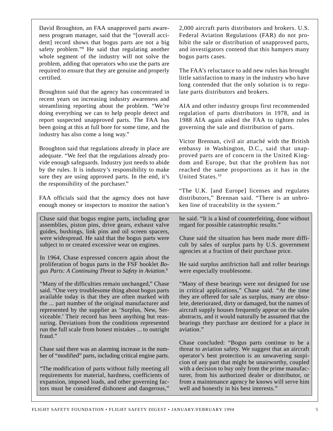enough money or inspectors to monitor the nation's Chase said that bogus engine parts, including gear assemblies, piston pins, drive gears, exhaust valve

FAA officials said that the agency does not have

David Broughton, an FAA unapproved parts awareness program manager, said that the "[overall accident] record shows that bogus parts are not a big safety problem."8 He said that regulating another whole segment of the industry will not solve the problem, adding that operators who use the parts are required to ensure that they are genuine and properly

Broughton said that the agency has concentrated in recent years on increasing industry awareness and streamlining reporting about the problem. "We're doing everything we can to help people detect and report suspected unapproved parts. The FAA has been going at this at full bore for some time, and the

Broughton said that regulations already in place are adequate. "We feel that the regulations already provide enough safeguards. Industry just needs to abide by the rules. It is industry's responsibility to make sure they are using approved parts. In the end, it's

industry has also come a long way."

the responsibility of the purchaser."

certified.

guides, bushings, link pins and oil screen spacers, were widespread. He said that the bogus parts were subject to or created excessive wear on engines.

In 1964, Chase expressed concern again about the proliferation of bogus parts in the FSF booklet *Bogus Parts: A Continuing Threat to Safety in Aviation*. 9

"Many of the difficulties remain unchanged," Chase said. "One very troublesome thing about bogus parts available today is that they are often marked with the ... part number of the original manufacturer and represented by the supplier as 'Surplus, New, Serviceable.' Their record has been anything but reassuring. Deviations from the conditions represented run the full scale from honest mistakes ... to outright fraud."

Chase said there was an alarming increase in the number of "modified" parts, including critical engine parts.

"The modification of parts without fully meeting all requirements for material, hardness, coefficients of expansion, imposed loads, and other governing factors must be considered dishonest and dangerous,"

2,000 aircraft parts distributors and brokers. U.S. Federal Aviation Regulations (FAR) do not prohibit the sale or distribution of unapproved parts, and investigators contend that this hampers many bogus parts cases.

The FAA's reluctance to add new rules has brought little satisfaction to many in the industry who have long contended that the only solution is to regulate parts distributors and brokers.

AIA and other industry groups first recommended regulation of parts distributors in 1978, and in 1988 AIA again asked the FAA to tighten rules governing the sale and distribution of parts.

Victor Brennan, civil air attaché with the British embassy in Washington, D.C., said that unapproved parts are of concern in the United Kingdom and Europe, but that the problem has not reached the same proportions as it has in the United States.10

"The U.K. [and Europe] licenses and regulates distributors," Brennan said. "There is an unbroken line of traceability in the system."

he said. "It is a kind of counterfeiting, done without regard for possible catastrophic results."

Chase said the situation has been made more difficult by sales of surplus parts by U.S. government agencies at a fraction of their purchase price.

He said surplus antifriction ball and roller bearings were especially troublesome.

"Many of these bearings were not designed for use in critical applications," Chase said. "At the time they are offered for sale as surplus, many are obsolete, deteriorated, dirty or damaged, but the names of aircraft supply houses frequently appear on the sales abstracts, and it would naturally be assumed that the bearings they purchase are destined for a place in aviation."

Chase concluded: "Bogus parts continue to be a threat to aviation safety. We suggest that an aircraft operator's best protection is an unwavering suspicion of any part that might be unairworthy, coupled with a decision to buy only from the prime manufacturer, from his authorized dealer or distributor, or from a maintenance agency he knows will serve him well and honestly in his best interests."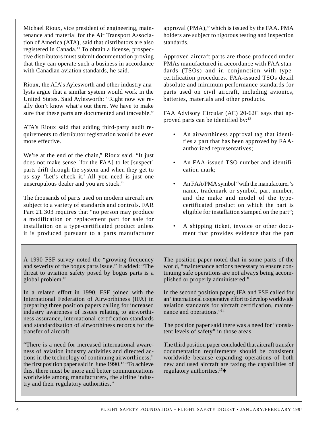Michael Rioux, vice president of engineering, maintenance and material for the Air Transport Association of America (ATA), said that distributors are also registered in Canada.11 To obtain a license, prospective distributors must submit documentation proving that they can operate such a business in accordance with Canadian aviation standards, he said.

Rioux, the AIA's Aylesworth and other industry analysts argue that a similar system would work in the United States. Said Aylesworth: "Right now we really don't know what's out there. We have to make sure that these parts are documented and traceable."

ATA's Rioux said that adding third-party audit requirements to distributor registration would be even more effective.

We're at the end of the chain," Rioux said. "It just does not make sense [for the FAA] to let [suspect] parts drift through the system and when they get to us say 'Let's check it.' All you need is just one unscrupulous dealer and you are stuck."

The thousands of parts used on modern aircraft are subject to a variety of standards and controls. FAR Part 21.303 requires that "no person may produce a modification or replacement part for sale for installation on a type-certificated product unless it is produced pursuant to a parts manufacturer approval (PMA)," which is issued by the FAA. PMA holders are subject to rigorous testing and inspection standards.

Approved aircraft parts are those produced under PMAs manufactured in accordance with FAA standards (TSOs) and in conjunction with typecertification procedures. FAA-issued TSOs detail absolute and minimum performance standards for parts used on civil aircraft, including avionics, batteries, materials and other products.

FAA Advisory Circular (AC) 20-62C says that approved parts can be identified by: $13$ 

- An airworthiness approval tag that identifies a part that has been approved by FAAauthorized representatives;
- An FAA-issued TSO number and identification mark;
- An FAA/PMA symbol "with the manufacturer's name, trademark or symbol, part number, and the make and model of the typecertificated product on which the part is eligible for installation stamped on the part";
- A shipping ticket, invoice or other document that provides evidence that the part

A 1990 FSF survey noted the "growing frequency and severity of the bogus parts issue." It added: "The threat to aviation safety posed by bogus parts is a global problem."

In a related effort in 1990, FSF joined with the International Federation of Airworthiness (IFA) in preparing three position papers calling for increased industry awareness of issues relating to airworthiness assurance, international certification standards and standardization of airworthiness records for the transfer of aircraft.

"There is a need for increased international awareness of aviation industry activities and directed actions in the technology of continuing airworthiness," the first position paper said in June  $1990$ <sup>12</sup> "To achieve" this, there must be more and better communications worldwide among manufacturers, the airline industry and their regulatory authorities."

The position paper noted that in some parts of the world, "maintenance actions necessary to ensure continuing safe operations are not always being accomplished or properly administered."

In the second position paper, IFA and FSF called for an "international cooperative effort to develop worldwide aviation standards for aircraft certification, maintenance and operations."14

The position paper said there was a need for "consistent levels of safety" in those areas.

The third position paper concluded that aircraft transfer documentation requirements should be consistent worldwide because expanding operations of both new and used aircraft are taxing the capabilities of regulatory authorities.<sup>15 $\blacklozenge$ </sup>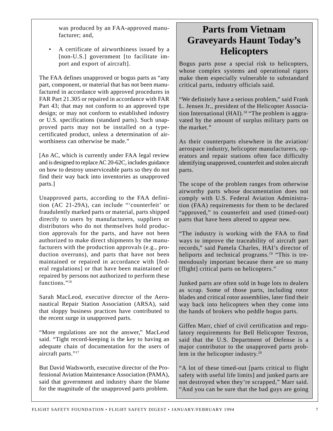was produced by an FAA-approved manufacturer; and,

• A certificate of airworthiness issued by a [non-U.S.] government [to facilitate import and export of aircraft].

The FAA defines unapproved or bogus parts as "any part, component, or material that has not been manufactured in accordance with approved procedures in FAR Part 21.305 or repaired in accordance with FAR Part 43; that may not conform to an approved type design; or may not conform to established industry or U.S. specifications (standard parts). Such unapproved parts may not be installed on a typecertificated product, unless a determination of airworthiness can otherwise be made."

[An AC, which is currently under FAA legal review and is designed to replace AC 20-62C, includes guidance on how to destroy unserviceable parts so they do not find their way back into inventories as unapproved parts.]

Unapproved parts, according to the FAA definition (AC 21-29A), can include "'counterfeit' or fraudulently marked parts or material, parts shipped directly to users by manufacturers, suppliers or distributors who do not themselves hold production approvals for the parts, and have not been authorized to make direct shipments by the manufacturers with the production approvals (e.g., production overruns), and parts that have not been maintained or repaired in accordance with [federal regulations] or that have been maintained or repaired by persons not authorized to perform these functions."<sup>16</sup>

Sarah MacLeod, executive director of the Aeronautical Repair Station Association (ARSA), said that sloppy business practices have contributed to the recent surge in unapproved parts.

"More regulations are not the answer," MacLeod said. "Tight record-keeping is the key to having an adequate chain of documentation for the users of aircraft parts."<sup>17</sup>

But David Wadsworth, executive director of the Professional Aviation Maintenance Association (PAMA), said that government and industry share the blame for the magnitude of the unapproved parts problem.

## **Parts from Vietnam Graveyards Haunt Today's Helicopters**

Bogus parts pose a special risk to helicopters, whose complex systems and operational rigors make them especially vulnerable to substandard critical parts, industry officials said.

"We definitely have a serious problem," said Frank L. Jensen Jr., president of the Helicopter Association International (HAI).<sup>18</sup> "The problem is aggravated by the amount of surplus military parts on the market."

As their counterparts elsewhere in the aviation/ aerospace industry, helicopter manufacturers, operators and repair stations often face difficulty identifying unapproved, counterfeit and stolen aircraft parts.

The scope of the problem ranges from otherwise airworthy parts whose documentation does not comply with U.S. Federal Aviation Administration (FAA) requirements for them to be declared "approved," to counterfeit and used (timed-out) parts that have been altered to appear new.

"The industry is working with the FAA to find ways to improve the traceability of aircraft part records," said Pamela Charles, HAI's director of heliports and technical programs.<sup>19</sup> "This is tremendously important because there are so many [flight] critical parts on helicopters."

Junked parts are often sold in huge lots to dealers as scrap. Some of those parts, including rotor blades and critical rotor assemblies, later find their way back into helicopters when they come into the hands of brokers who peddle bogus parts.

Giffen Marr, chief of civil certification and regulatory requirements for Bell Helicopter Textron, said that the U.S. Department of Defense is a major contributor to the unapproved parts problem in the helicopter industry.20

"A lot of these timed-out [parts critical to flight safety with useful life limits] and junked parts are not destroyed when they're scrapped," Marr said. "And you can be sure that the bad guys are going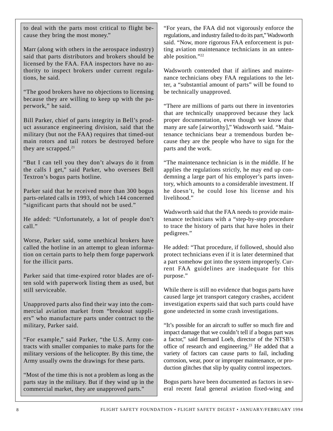to deal with the parts most critical to flight because they bring the most money."

Marr (along with others in the aerospace industry) said that parts distributors and brokers should be licensed by the FAA. FAA inspectors have no authority to inspect brokers under current regulations, he said.

"The good brokers have no objections to licensing because they are willing to keep up with the paperwork," he said.

Bill Parker, chief of parts integrity in Bell's product assurance engineering division, said that the military (but not the FAA) requires that timed-out main rotors and tail rotors be destroyed before they are scrapped. $21$ 

"But I can tell you they don't always do it from the calls I get," said Parker, who oversees Bell Textron's bogus parts hotline.

Parker said that he received more than 300 bogus parts-related calls in 1993, of which 144 concerned "significant parts that should not be used."

He added: "Unfortunately, a lot of people don't  $cal1$ "

Worse, Parker said, some unethical brokers have called the hotline in an attempt to glean information on certain parts to help them forge paperwork for the illicit parts.

Parker said that time-expired rotor blades are often sold with paperwork listing them as used, but still serviceable.

Unapproved parts also find their way into the commercial aviation market from "breakout suppliers" who manufacture parts under contract to the military, Parker said.

"For example," said Parker, "the U.S. Army contracts with smaller companies to make parts for the military versions of the helicopter. By this time, the Army usually owns the drawings for these parts.

"Most of the time this is not a problem as long as the parts stay in the military. But if they wind up in the commercial market, they are unapproved parts."

"For years, the FAA did not vigorously enforce the regulations, and industry failed to do its part," Wadsworth said. "Now, more rigorous FAA enforcement is putting aviation maintenance technicians in an untenable position."22

Wadsworth contended that if airlines and maintenance technicians obey FAA regulations to the letter, a "substantial amount of parts" will be found to be technically unapproved.

"There are millions of parts out there in inventories that are technically unapproved because they lack proper documentation, even though we know that many are safe [airworthy]," Wadsworth said. "Maintenance technicians bear a tremendous burden because they are the people who have to sign for the parts and the work.

"The maintenance technician is in the middle. If he applies the regulations strictly, he may end up condemning a large part of his employer's parts inventory, which amounts to a considerable investment. If he doesn't, he could lose his license and his livelihood."

Wadsworth said that the FAA needs to provide maintenance technicians with a "step-by-step procedure to trace the history of parts that have holes in their pedigrees."

He added: "That procedure, if followed, should also protect technicians even if it is later determined that a part somehow got into the system improperly. Current FAA guidelines are inadequate for this purpose."

While there is still no evidence that bogus parts have caused large jet transport category crashes, accident investigation experts said that such parts could have gone undetected in some crash investigations.

"It's possible for an aircraft to suffer so much fire and impact damage that we couldn't tell if a bogus part was a factor," said Bernard Loeb, director of the NTSB's office of research and engineering.23 He added that a variety of factors can cause parts to fail, including corrosion, wear, poor or improper maintenance, or production glitches that slip by quality control inspectors.

Bogus parts have been documented as factors in several recent fatal general aviation fixed-wing and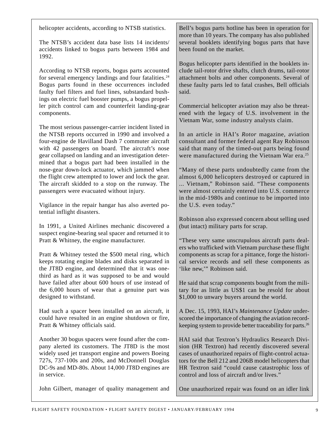helicopter accidents, according to NTSB statistics.

The NTSB's accident data base lists 14 incidents/ accidents linked to bogus parts between 1984 and 1992.

According to NTSB reports, bogus parts accounted for several emergency landings and four fatalities.<sup>24</sup> Bogus parts found in these occurrences included faulty fuel filters and fuel lines, substandard bushings on electric fuel booster pumps, a bogus propeller pitch control cam and counterfeit landing-gear components.

The most serious passenger-carrier incident listed in the NTSB reports occurred in 1990 and involved a four-engine de Havilland Dash 7 commuter aircraft with 42 passengers on board. The aircraft's nose gear collapsed on landing and an investigation determined that a bogus part had been installed in the nose-gear down-lock actuator, which jammed when the flight crew attempted to lower and lock the gear. The aircraft skidded to a stop on the runway. The passengers were evacuated without injury.

Vigilance in the repair hangar has also averted potential inflight disasters.

In 1991, a United Airlines mechanic discovered a suspect engine-bearing seal spacer and returned it to Pratt & Whitney, the engine manufacturer.

Pratt & Whitney tested the \$500 metal ring, which keeps rotating engine blades and disks separated in the JT8D engine, and determined that it was onethird as hard as it was supposed to be and would have failed after about 600 hours of use instead of the 6,000 hours of wear that a genuine part was designed to withstand.

Had such a spacer been installed on an aircraft, it could have resulted in an engine shutdown or fire, Pratt & Whitney officials said.

Another 30 bogus spacers were found after the company alerted its customers. The JT8D is the most widely used jet transport engine and powers Boeing 727s, 737-100s and 200s, and McDonnell Douglas DC-9s and MD-80s. About 14,000 JT8D engines are in service.

John Gilbert, manager of quality management and

Bell's bogus parts hotline has been in operation for more than 10 years. The company has also published several booklets identifying bogus parts that have been found on the market.

Bogus helicopter parts identified in the booklets include tail-rotor drive shafts, clutch drums, tail-rotor attachment bolts and other components. Several of these faulty parts led to fatal crashes, Bell officials said.

Commercial helicopter aviation may also be threatened with the legacy of U.S. involvement in the Vietnam War, some industry analysts claim.

In an article in HAI's *Rotor* magazine, aviation consultant and former federal agent Ray Robinson said that many of the timed-out parts being found were manufactured during the Vietnam War era.<sup>25</sup>

"Many of these parts undoubtedly came from the almost 6,000 helicopters destroyed or captured in ... Vietnam," Robinson said. "These components were almost certainly entered into U.S. commerce in the mid-1980s and continue to be imported into the U.S. even today."

Robinson also expressed concern about selling used (but intact) military parts for scrap.

"These very same unscrupulous aircraft parts dealers who trafficked with Vietnam purchase these flight components as scrap for a pittance, forge the historical service records and sell these components as 'like new,'" Robinson said.

He said that scrap components bought from the military for as little as US\$1 can be resold for about \$1,000 to unwary buyers around the world.

A Dec. 15, 1993, HAI's *Maintenance Update* underscored the importance of changing the aviation recordkeeping system to provide better traceability for parts.26

HAI said that Textron's Hydraulics Research Division (HR Textron) had recently discovered several cases of unauthorized repairs of flight-control actuators for the Bell 212 and 206B model helicopters that HR Textron said "could cause catastrophic loss of control and loss of aircraft and/or lives."

One unauthorized repair was found on an idler link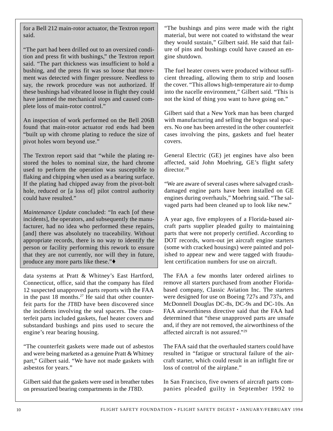for a Bell 212 main-rotor actuator, the Textron report said.

"The part had been drilled out to an oversized condition and press fit with bushings," the Textron report said. "The part thickness was insufficient to hold a bushing, and the press fit was so loose that movement was detected with finger pressure. Needless to say, the rework procedure was not authorized. If these bushings had vibrated loose in flight they could have jammed the mechanical stops and caused complete loss of main-rotor control."

An inspection of work performed on the Bell 206B found that main-rotor actuator rod ends had been "built up with chrome plating to reduce the size of pivot holes worn beyond use."

The Textron report said that "while the plating restored the holes to nominal size, the hard chrome used to perform the operation was susceptible to flaking and chipping when used as a bearing surface. If the plating had chipped away from the pivot-bolt hole, reduced or [a loss of] pilot control authority could have resulted."

*Maintenance Update* concluded: "In each [of these incidents], the operators, and subsequently the manufacturer, had no idea who performed these repairs, [and] there was absolutely no traceability. Without appropriate records, there is no way to identify the person or facility performing this rework to ensure that they are not currently, nor will they in future, produce any more parts like these."♦

data systems at Pratt & Whitney's East Hartford, Connecticut, office, said that the company has filed 12 suspected unapproved parts reports with the FAA in the past  $18$  months.<sup>27</sup> He said that other counterfeit parts for the JT8D have been discovered since the incidents involving the seal spacers. The counterfeit parts included gaskets, fuel heater covers and substandard bushings and pins used to secure the engine's rear bearing housing.

"The counterfeit gaskets were made out of asbestos and were being marketed as a genuine Pratt & Whitney part," Gilbert said. "We have not made gaskets with asbestos for years."

Gilbert said that the gaskets were used in breather tubes on pressurized bearing compartments in the JT8D.

"The bushings and pins were made with the right material, but were not coated to withstand the wear they would sustain," Gilbert said. He said that failure of pins and bushings could have caused an engine shutdown.

The fuel heater covers were produced without sufficient threading, allowing them to strip and loosen the cover. "This allows high-temperature air to dump into the nacelle environment," Gilbert said. "This is not the kind of thing you want to have going on."

Gilbert said that a New York man has been charged with manufacturing and selling the bogus seal spacers. No one has been arrested in the other counterfeit cases involving the pins, gaskets and fuel heater covers.

General Electric (GE) jet engines have also been affected, said John Moehring, GE's flight safety director<sup>28</sup>

"We are aware of several cases where salvaged crashdamaged engine parts have been installed on GE engines during overhauls," Moehring said. "The salvaged parts had been cleaned up to look like new."

A year ago, five employees of a Florida-based aircraft parts supplier pleaded guilty to maintaining parts that were not properly certified. According to DOT records, worn-out jet aircraft engine starters (some with cracked housings) were painted and polished to appear new and were tagged with fraudulent certification numbers for use on aircraft.

The FAA a few months later ordered airlines to remove all starters purchased from another Floridabased company, Classic Aviation Inc. The starters were designed for use on Boeing 727s and 737s, and McDonnell Douglas DC-8s, DC-9s and DC-10s. An FAA airworthiness directive said that the FAA had determined that "these unapproved parts are unsafe and, if they are not removed, the airworthiness of the affected aircraft is not assured."29

The FAA said that the overhauled starters could have resulted in "fatigue or structural failure of the aircraft starter, which could result in an inflight fire or loss of control of the airplane."

In San Francisco, five owners of aircraft parts companies pleaded guilty in September 1992 to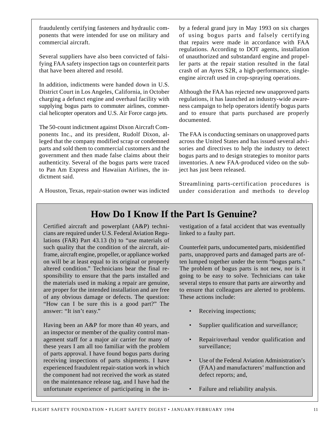fraudulently certifying fasteners and hydraulic components that were intended for use on military and commercial aircraft.

Several suppliers have also been convicted of falsifying FAA safety inspection tags on counterfeit parts that have been altered and resold.

In addition, indictments were handed down in U.S. District Court in Los Angeles, California, in October charging a defunct engine and overhaul facility with supplying bogus parts to commuter airlines, commercial helicopter operators and U.S. Air Force cargo jets.

The 50-count indictment against Dixon Aircraft Components Inc., and its president, Rudolf Dixon, alleged that the company modified scrap or condemned parts and sold them to commercial customers and the government and then made false claims about their authenticity. Several of the bogus parts were traced to Pan Am Express and Hawaiian Airlines, the indictment said.

by a federal grand jury in May 1993 on six charges of using bogus parts and falsely certifying that repairs were made in accordance with FAA regulations. According to DOT agents, installation of unauthorized and substandard engine and propeller parts at the repair station resulted in the fatal crash of an Ayres S2R, a high-performance, singleengine aircraft used in crop-spraying operations.

Although the FAA has rejected new unapproved parts regulations, it has launched an industry-wide awareness campaign to help operators identify bogus parts and to ensure that parts purchased are properly documented.

The FAA is conducting seminars on unapproved parts across the United States and has issued several advisories and directives to help the industry to detect bogus parts and to design strategies to monitor parts inventories. A new FAA-produced video on the subject has just been released.

Streamlining parts-certification procedures is under consideration and methods to develop

A Houston, Texas, repair-station owner was indicted

## **How Do I Know If the Part Is Genuine?**

Certified aircraft and powerplant (A&P) technicians are required under U.S. Federal Aviation Regulations (FAR) Part 43.13 (b) to "use materials of such quality that the condition of the aircraft, airframe, aircraft engine, propeller, or appliance worked on will be at least equal to its original or properly altered condition." Technicians bear the final responsibility to ensure that the parts installed and the materials used in making a repair are genuine, are proper for the intended installation and are free of any obvious damage or defects. The question: "How can I be sure this is a good part?" The answer: "It isn't easy."

Having been an A&P for more than 40 years, and an inspector or member of the quality control management staff for a major air carrier for many of these years I am all too familiar with the problem of parts approval. I have found bogus parts during receiving inspections of parts shipments. I have experienced fraudulent repair-station work in which the component had not received the work as stated on the maintenance release tag, and I have had the unfortunate experience of participating in the investigation of a fatal accident that was eventually linked to a faulty part.

Counterfeit parts, undocumented parts, misidentified parts, unapproved parts and damaged parts are often lumped together under the term "bogus parts." The problem of bogus parts is not new, nor is it going to be easy to solve. Technicians can take several steps to ensure that parts are airworthy and to ensure that colleagues are alerted to problems. These actions include:

- Receiving inspections;
- Supplier qualification and surveillance;
- Repair/overhaul vendor qualification and surveillance;
- Use of the Federal Aviation Administration's (FAA) and manufacturers' malfunction and defect reports; and,
- Failure and reliability analysis.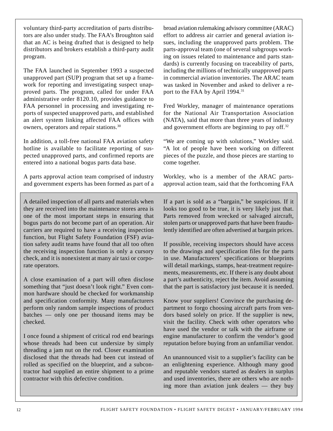voluntary third-party accreditation of parts distributors are also under study. The FAA's Broughton said that an AC is being drafted that is designed to help distributors and brokers establish a third-party audit program.

The FAA launched in September 1993 a suspected unapproved part (SUP) program that set up a framework for reporting and investigating suspect unapproved parts. The program, called for under FAA administrative order 8120.10, provides guidance to FAA personnel in processing and investigating reports of suspected unapproved parts, and established an alert system linking affected FAA offices with owners, operators and repair stations.30

In addition, a toll-free national FAA aviation safety hotline is available to facilitate reporting of suspected unapproved parts, and confirmed reports are entered into a national bogus parts data base.

A parts approval action team comprised of industry and government experts has been formed as part of a

A detailed inspection of all parts and materials when they are received into the maintenance stores area is one of the most important steps in ensuring that bogus parts do not become part of an operation. Air carriers are required to have a receiving inspection function, but Flight Safety Foundation (FSF) aviation safety audit teams have found that all too often the receiving inspection function is only a cursory check, and it is nonexistent at many air taxi or corporate operators.

A close examination of a part will often disclose something that "just doesn't look right." Even common hardware should be checked for workmanship and specification conformity. Many manufacturers perform only random sample inspections of product batches — only one per thousand items may be checked.

I once found a shipment of critical rod end bearings whose threads had been cut undersize by simply threading a jam nut on the rod. Closer examination disclosed that the threads had been cut instead of rolled as specified on the blueprint, and a subcontractor had supplied an entire shipment to a prime contractor with this defective condition.

broad aviation rulemaking advisory committee (ARAC) effort to address air carrier and general aviation issues, including the unapproved parts problem. The parts-approval team (one of several subgroups working on issues related to maintenance and parts standards) is currently focusing on traceability of parts, including the millions of technically unapproved parts in commercial aviation inventories. The ARAC team was tasked in November and asked to deliver a report to the FAA by April 1994.<sup>31</sup>

Fred Workley, manager of maintenance operations for the National Air Transportation Association (NATA), said that more than three years of industry and government efforts are beginning to pay off.32

"We are coming up with solutions," Workley said. "A lot of people have been working on different pieces of the puzzle, and those pieces are starting to come together.

Workley, who is a member of the ARAC partsapproval action team, said that the forthcoming FAA

If a part is sold as a "bargain," be suspicious. If it looks too good to be true, it is very likely just that. Parts removed from wrecked or salvaged aircraft, stolen parts or unapproved parts that have been fraudulently identified are often advertised at bargain prices.

If possible, receiving inspectors should have access to the drawings and specification files for the parts in use. Manufacturers' specifications or blueprints will detail markings, stamps, heat-treatment requirements, measurements, etc. If there is any doubt about a part's authenticity, reject the item. Avoid assuming that the part is satisfactory just because it is needed.

Know your suppliers! Convince the purchasing department to forgo choosing aircraft parts from vendors based solely on price. If the supplier is new, visit the facility. Check with other operators who have used the vendor or talk with the airframe or engine manufacturer to confirm the vendor's good reputation before buying from an unfamiliar vendor.

An unannounced visit to a supplier's facility can be an enlightening experience. Although many good and reputable vendors started as dealers in surplus and used inventories, there are others who are nothing more than aviation junk dealers — they buy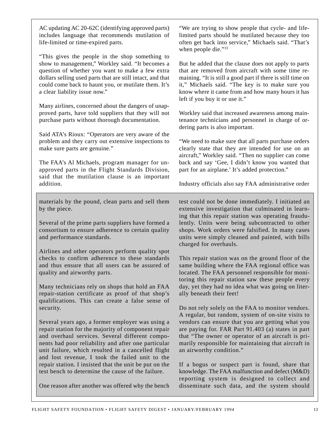AC updating AC 20-62C (identifying approved parts) includes language that recommends mutilation of life-limited or time-expired parts.

"This gives the people in the shop something to show to management," Workley said. "It becomes a question of whether you want to make a few extra dollars selling used parts that are still intact, and that could come back to haunt you, or mutilate them. It's a clear liability issue now."

Many airlines, concerned about the dangers of unapproved parts, have told suppliers that they will not purchase parts without thorough documentation.

Said ATA's Rioux: "Operators are very aware of the problem and they carry out extensive inspections to make sure parts are genuine."

The FAA's Al Michaels, program manager for unapproved parts in the Flight Standards Division, said that the mutilation clause is an important addition.

materials by the pound, clean parts and sell them by the piece.

Several of the prime parts suppliers have formed a consortium to ensure adherence to certain quality and performance standards.

Airlines and other operators perform quality spot checks to confirm adherence to these standards and thus ensure that all users can be assured of quality and airworthy parts.

Many technicians rely on shops that hold an FAA repair-station certificate as proof of that shop's qualifications. This can create a false sense of security.

Several years ago, a former employer was using a repair station for the majority of component repair and overhaul services. Several different components had poor reliability and after one particular unit failure, which resulted in a cancelled flight and lost revenue, I took the failed unit to the repair station. I insisted that the unit be put on the test bench to determine the cause of the failure.

One reason after another was offered why the bench

"We are trying to show people that cycle- and lifelimited parts should be mutilated because they too often get back into service," Michaels said. "That's when people die."<sup>33</sup>

But he added that the clause does not apply to parts that are removed from aircraft with some time remaining. "It is still a good part if there is still time on it," Michaels said. "The key is to make sure you know where it came from and how many hours it has left if you buy it or use it."

Workley said that increased awareness among maintenance technicians and personnel in charge of ordering parts is also important.

"We need to make sure that all parts purchase orders clearly state that they are intended for use on an aircraft," Workley said. "Then no supplier can come back and say 'Gee, I didn't know you wanted that part for an airplane.' It's added protection."

Industry officials also say FAA administrative order

test could not be done immediately. I initiated an extensive investigation that culminated in learning that this repair station was operating fraudulently. Units were being subcontracted to other shops. Work orders were falsified. In many cases units were simply cleaned and painted, with bills charged for overhauls.

This repair station was on the ground floor of the same building where the FAA regional office was located. The FAA personnel responsible for monitoring this repair station saw these people every day, yet they had no idea what was going on literally beneath their feet!

Do not rely solely on the FAA to monitor vendors. A regular, but random, system of on-site visits to vendors can ensure that you are getting what you are paying for. FAR Part 91.403 (a) states in part that "The owner or operator of an aircraft is primarily responsible for maintaining that aircraft in an airworthy condition."

If a bogus or suspect part is found, share that knowledge. The FAA malfunction and defect (M&D) reporting system is designed to collect and disseminate such data, and the system should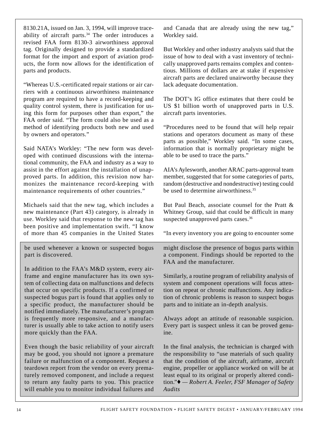8130.21A, issued on Jan. 3, 1994, will improve traceability of aircraft parts.<sup>34</sup> The order introduces a revised FAA form 8130-3 airworthiness approval tag. Originally designed to provide a standardized format for the import and export of aviation products, the form now allows for the identification of parts and products.

"Whereas U.S.-certificated repair stations or air carriers with a continuous airworthiness maintenance program are required to have a record-keeping and quality control system, there is justification for using this form for purposes other than export," the FAA order said. "The form could also be used as a method of identifying products both new and used by owners and operators."

Said NATA's Workley: "The new form was developed with continued discussions with the international community, the FAA and industry as a way to assist in the effort against the installation of unapproved parts. In addition, this revision now harmonizes the maintenance record-keeping with maintenance requirements of other countries."

Michaels said that the new tag, which includes a new maintenance (Part 43) category, is already in use. Workley said that response to the new tag has been positive and implementation swift. "I know of more than 45 companies in the United States

be used whenever a known or suspected bogus part is discovered.

In addition to the FAA's M&D system, every airframe and engine manufacturer has its own system of collecting data on malfunctions and defects that occur on specific products. If a confirmed or suspected bogus part is found that applies only to a specific product, the manufacturer should be notified immediately. The manufacturer's program is frequently more responsive, and a manufacturer is usually able to take action to notify users more quickly than the FAA.

Even though the basic reliability of your aircraft may be good, you should not ignore a premature failure or malfunction of a component. Request a teardown report from the vendor on every prematurely removed component, and include a request to return any faulty parts to you. This practice will enable you to monitor individual failures and

and Canada that are already using the new tag," Workley said.

But Workley and other industry analysts said that the issue of how to deal with a vast inventory of technically unapproved parts remains complex and contentious. Millions of dollars are at stake if expensive aircraft parts are declared unairworthy because they lack adequate documentation.

The DOT's IG office estimates that there could be US \$1 billion worth of unapproved parts in U.S. aircraft parts inventories.

"Procedures need to be found that will help repair stations and operators document as many of these parts as possible," Workley said. "In some cases, information that is normally proprietary might be able to be used to trace the parts."

AIA's Aylesworth, another ARAC parts-approval team member, suggested that for some categories of parts, random (destructive and nondestructive) testing could be used to determine airworthiness.<sup>35</sup>

But Paul Beach, associate counsel for the Pratt & Whitney Group, said that could be difficult in many suspected unapproved parts cases.<sup>36</sup>

"In every inventory you are going to encounter some

might disclose the presence of bogus parts within a component. Findings should be reported to the FAA and the manufacturer.

Similarly, a routine program of reliability analysis of system and component operations will focus attention on repeat or chronic malfunctions. Any indication of chronic problems is reason to suspect bogus parts and to initiate an in-depth analysis.

Always adopt an attitude of reasonable suspicion. Every part is suspect unless it can be proved genuine.

In the final analysis, the technician is charged with the responsibility to "use materials of such quality that the condition of the aircraft, airframe, aircraft engine, propeller or appliance worked on will be at least equal to its original or properly altered condition."♦ *— Robert A. Feeler, FSF Manager of Safety Audits*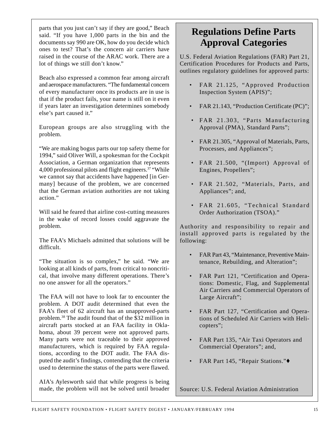parts that you just can't say if they are good," Beach said. "If you have 1,000 parts in the bin and the documents say 990 are OK, how do you decide which ones to test? That's the concern air carriers have raised in the course of the ARAC work. There are a lot of things we still don't know."

Beach also expressed a common fear among aircraft and aerospace manufacturers. "The fundamental concern of every manufacturer once its products are in use is that if the product fails, your name is still on it even if years later an investigation determines somebody else's part caused it."

European groups are also struggling with the problem.

"We are making bogus parts our top safety theme for 1994," said Oliver Will, a spokesman for the Cockpit Association, a German organization that represents 4,000 professional pilots and flight engineers.37 "While we cannot say that accidents have happened [in Germany] because of the problem, we are concerned that the German aviation authorities are not taking action."

Will said he feared that airline cost-cutting measures in the wake of record losses could aggravate the problem.

The FAA's Michaels admitted that solutions will be difficult.

"The situation is so complex," he said. "We are looking at all kinds of parts, from critical to noncritical, that involve many different operations. There's no one answer for all the operators."

The FAA will not have to look far to encounter the problem. A DOT audit determined that even the FAA's fleet of 62 aircraft has an unapproved-parts problem.38 The audit found that of the \$32 million in aircraft parts stocked at an FAA facility in Oklahoma, about 39 percent were not approved parts. Many parts were not traceable to their approved manufacturers, which is required by FAA regulations, according to the DOT audit. The FAA disputed the audit's findings, contending that the criteria used to determine the status of the parts were flawed.

AIA's Aylesworth said that while progress is being made, the problem will not be solved until broader

## **Regulations Define Parts Approval Categories**

U.S. Federal Aviation Regulations (FAR) Part 21, Certification Procedures for Products and Parts, outlines regulatory guidelines for approved parts:

- FAR 21.125, "Approved Production Inspection System (APIS)";
- FAR 21.143, "Production Certificate (PC)";
- FAR 21.303, "Parts Manufacturing Approval (PMA), Standard Parts";
- FAR 21.305, "Approval of Materials, Parts, Processes, and Appliances";
- FAR 21.500, "(Import) Approval of Engines, Propellers";
- FAR 21.502, "Materials, Parts, and Appliances"; and,
- FAR 21.605, "Technical Standard Order Authorization (TSOA)."

Authority and responsibility to repair and install approved parts is regulated by the following:

- FAR Part 43, "Maintenance, Preventive Maintenance, Rebuilding, and Alteration";
- FAR Part 121, "Certification and Operations: Domestic, Flag, and Supplemental Air Carriers and Commercial Operators of Large Aircraft";
- FAR Part 127, "Certification and Operations of Scheduled Air Carriers with Helicopters";
- FAR Part 135, "Air Taxi Operators and Commercial Operators"; and,
- FAR Part 145, "Repair Stations."

Source: U.S. Federal Aviation Administration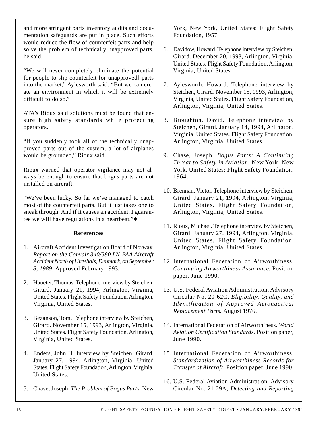and more stringent parts inventory audits and documentation safeguards are put in place. Such efforts would reduce the flow of counterfeit parts and help solve the problem of technically unapproved parts, he said.

"We will never completely eliminate the potential for people to slip counterfeit [or unapproved] parts into the market," Aylesworth said. "But we can create an environment in which it will be extremely difficult to do so."

ATA's Rioux said solutions must be found that ensure high safety standards while protecting operators.

"If you suddenly took all of the technically unapproved parts out of the system, a lot of airplanes would be grounded," Rioux said.

Rioux warned that operator vigilance may not always be enough to ensure that bogus parts are not installed on aircraft.

"We've been lucky. So far we've managed to catch most of the counterfeit parts. But it just takes one to sneak through. And if it causes an accident, I guarantee we will have regulations in a heartbeat."♦

#### **References**

- 1. Aircraft Accident Investigation Board of Norway. *Report on the Convair 340/580 LN-PAA Aircraft Accident North of Hirtshals, Denmark, on September 8, 1989,* Approved February 1993.
- 2. Haueter, Thomas. Telephone interview by Steichen, Girard. January 21, 1994, Arlington, Virginia, United States. Flight Safety Foundation, Arlington, Virginia, United States.
- 3. Bezanson, Tom. Telephone interview by Steichen, Girard. November 15, 1993, Arlington, Virginia, United States. Flight Safety Foundation, Arlington, Virginia, United States.
- 4. Enders, John H. Interview by Steichen, Girard. January 27, 1994, Arlington, Virginia, United States. Flight Safety Foundation, Arlington, Virginia, United States.
- 5. Chase, Joseph. *The Problem of Bogus Parts.* New

York, New York, United States: Flight Safety Foundation, 1957.

- 6. Davidow, Howard. Telephone interview by Steichen, Girard. December 20, 1993, Arlington, Virginia, United States. Flight Safety Foundation, Arlington, Virginia, United States.
- 7. Aylesworth, Howard. Telephone interview by Steichen, Girard. November 15, 1993, Arlington, Virginia, United States. Flight Safety Foundation, Arlington, Virginia, United States.
- 8. Broughton, David. Telephone interview by Steichen, Girard. January 14, 1994, Arlington, Virginia, United States. Flight Safety Foundation, Arlington, Virginia, United States.
- 9. Chase, Joseph. *Bogus Parts: A Continuing Threat to Safety in Aviation.* New York, New York, United States: Flight Safety Foundation. 1964.
- 10. Brennan, Victor. Telephone interview by Steichen, Girard. January 21, 1994, Arlington, Virginia, United States. Flight Safety Foundation, Arlington, Virginia, United States.
- 11. Rioux, Michael. Telephone interview by Steichen, Girard. January 27, 1994, Arlington, Virginia, United States. Flight Safety Foundation, Arlington, Virginia, United States.
- 12. International Federation of Airworthiness. *Continuing Airworthiness Assurance.* Position paper, June 1990.
- 13. U.S. Federal Aviation Administration. Advisory Circular No. 20-62C, *Eligibility, Quality, and Identification of Approved Aeronautical Replacement Parts.* August 1976.
- 14. International Federation of Airworthiness. *World Aviation Certification Standards.* Position paper, June 1990.
- 15. International Federation of Airworthiness. *Standardization of Airworthiness Records for Transfer of Aircraft*. Position paper, June 1990.
- 16. U.S. Federal Aviation Administration. Advisory Circular No. 21-29A, *Detecting and Reporting*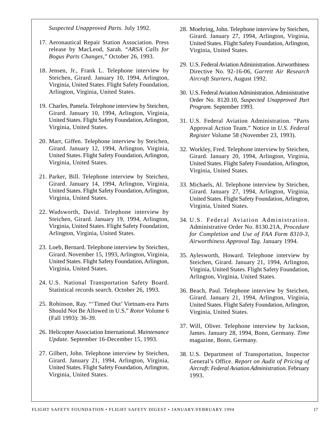*Suspected Unapproved Parts.* July 1992.

- 17. Aeronautical Repair Station Association. Press release by MacLeod, Sarah. "*ARSA Calls for Bogus Parts Changes*," October 26, 1993.
- 18. Jensen, Jr., Frank L. Telephone interview by Steichen, Girard. January 10, 1994, Arlington, Virginia, United States. Flight Safety Foundation, Arlington, Virginia, United States.
- 19. Charles, Pamela. Telephone interview by Steichen, Girard. January 10, 1994, Arlington, Virginia, United States. Flight Safety Foundation, Arlington, Virginia, United States.
- 20. Marr, Giffen. Telephone interview by Steichen, Girard. January 12, 1994, Arlington, Virginia, United States. Flight Safety Foundation, Arlington, Virginia, United States.
- 21. Parker, Bill. Telephone interview by Steichen, Girard. January 14, 1994, Arlington, Virginia, United States. Flight Safety Foundation, Arlington, Virginia, United States.
- 22. Wadsworth, David. Telephone interview by Steichen, Girard. January 19, 1994, Arlington, Virginia, United States. Flight Safety Foundation, Arlington, Virginia, United States.
- 23. Loeb, Bernard. Telephone interview by Steichen, Girard. November 15, 1993, Arlington, Virginia, United States. Flight Safety Foundation, Arlington, Virginia, United States.
- 24. U.S. National Transportation Safety Board. Statistical records search. October 26, 1993.
- 25. Robinson, Ray. "'Timed Out' Vietnam-era Parts Should Not Be Allowed in U.S." *Rotor* Volume 6 (Fall 1993): 36-39.
- 26. Helicopter Association International. *Maintenance Update.* September 16-December 15, 1993.
- 27. Gilbert, John. Telephone interview by Steichen, Girard. January 21, 1994, Arlington, Virginia, United States. Flight Safety Foundation, Arlington, Virginia, United States.
- 28. Moehring, John. Telephone interview by Steichen, Girard. January 27, 1994, Arlington, Virginia, United States. Flight Safety Foundation, Arlington, Virginia, United States.
- 29. U.S. Federal Aviation Administration. Airworthiness Directive No. 92-16-06, *Garrett Air Research Aircraft Starters*, August 1992.
- 30. U.S. Federal Aviation Administration. Administrative Order No. 8120.10, *Suspected Unapproved Part Program.* September 1993.
- 31. U.S. Federal Aviation Administration. "Parts Approval Action Team." Notice in *U.S. Federal Register* Volume 58 (November 23, 1993).
- 32. Workley, Fred. Telephone interview by Steichen, Girard. January 20, 1994, Arlington, Virginia, United States. Flight Safety Foundation, Arlington, Virginia, United States.
- 33. Michaels, Al. Telephone interview by Steichen, Girard. January 27, 1994, Arlington, Virginia, United States. Flight Safety Foundation, Arlington, Virginia, United States.
- 34. U.S. Federal Aviation Administration. Administrative Order No. 8130.21A, *Procedure for Completion and Use of FAA Form 8310-3, Airworthiness Approval Tag*. January 1994.
- 35. Aylesworth, Howard. Telephone interview by Steichen, Girard. January 21, 1994, Arlington, Virginia, United States. Flight Safety Foundation, Arlington, Virginia, United States.
- 36. Beach, Paul. Telephone interview by Steichen, Girard. January 21, 1994, Arlington, Virginia, United States. Flight Safety Foundation, Arlington, Virginia, United States.
- 37. Will, Oliver. Telephone interview by Jackson, James. January 28, 1994, Bonn, Germany. *Time* magazine, Bonn, Germany.
- 38. U.S. Department of Transportation, Inspector General's Office. *Report on Audit of Pricing of Aircraft: Federal Aviation Administration.* February 1993.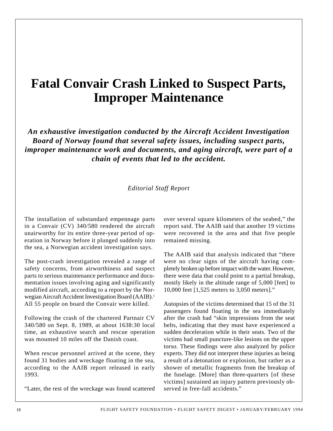## **Fatal Convair Crash Linked to Suspect Parts, Improper Maintenance**

*An exhaustive investigation conducted by the Aircraft Accident Investigation Board of Norway found that several safety issues, including suspect parts, improper maintenance work and documents, and aging aircraft, were part of a chain of events that led to the accident.*

#### *Editorial Staff Report*

The installation of substandard empennage parts in a Convair (CV) 340/580 rendered the aircraft unairworthy for its entire three-year period of operation in Norway before it plunged suddenly into the sea, a Norwegian accident investigation says.

The post-crash investigation revealed a range of safety concerns, from airworthiness and suspect parts to serious maintenance performance and documentation issues involving aging and significantly modified aircraft, according to a report by the Norwegian Aircraft Accident Investigation Board (AAIB).1 All 55 people on board the Convair were killed.

Following the crash of the chartered Partnair CV 340/580 on Sept. 8, 1989, at about 1638:30 local time, an exhaustive search and rescue operation was mounted 10 miles off the Danish coast.

When rescue personnel arrived at the scene, they found 31 bodies and wreckage floating in the sea, according to the AAIB report released in early 1993.

"Later, the rest of the wreckage was found scattered

over several square kilometers of the seabed," the report said. The AAIB said that another 19 victims were recovered in the area and that five people remained missing.

The AAIB said that analysis indicated that "there were no clear signs of the aircraft having completely broken up before impact with the water. However, there were data that could point to a partial breakup, mostly likely in the altitude range of 5,000 [feet] to 10,000 feet [1,525 meters to 3,050 meters]."

Autopsies of the victims determined that 15 of the 31 passengers found floating in the sea immediately after the crash had "skin impressions from the seat belts, indicating that they must have experienced a sudden deceleration while in their seats. Two of the victims had small puncture-like lesions on the upper torso. These findings were also analyzed by police experts. They did not interpret these injuries as being a result of a detonation or explosion, but rather as a shower of metallic fragments from the breakup of the fuselage. [More] than three-quarters [of these victims] sustained an injury pattern previously observed in free-fall accidents."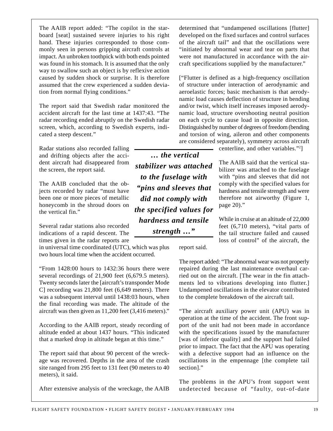board [seat] sustained severe injuries to his right hand. These injuries corresponded to those commonly seen in persons gripping aircraft controls at impact. An unbroken toothpick with both ends pointed was found in his stomach. It is assumed that the only way to swallow such an object is by reflexive action caused by sudden shock or surprise. It is therefore assumed that the crew experienced a sudden deviation from normal flying conditions."

The AAIB report added: "The copilot in the star-

The report said that Swedish radar monitored the accident aircraft for the last time at 1437:43. "The radar recording ended abruptly on the Swedish radar screen, which, according to Swedish experts, indicated a steep descent."

Radar stations also recorded falling and drifting objects after the accident aircraft had disappeared from the screen, the report said.

The AAIB concluded that the objects recorded by radar "must have been one or more pieces of metallic honeycomb in the shroud doors on the vertical fin."

Several radar stations also recorded indications of a rapid descent. The times given in the radar reports are

in universal time coordinated (UTC), which was plus two hours local time when the accident occurred.

"From 1428:00 hours to 1432:36 hours there were several recordings of 21,900 feet (6,679.5 meters). Twenty seconds later the [aircraft's transponder Mode C] recording was 21,800 feet (6,649 meters). There was a subsequent interval until 1438:03 hours, when the final recording was made. The altitude of the aircraft was then given as 11,200 feet (3,416 meters)."

According to the AAIB report, steady recording of altitude ended at about 1437 hours. "This indicated that a marked drop in altitude began at this time."

The report said that about 90 percent of the wreckage was recovered. Depths in the area of the crash site ranged from 295 feet to 131 feet (90 meters to 40 meters), it said.

After extensive analysis of the wreckage, the AAIB

determined that "undampened oscillations [flutter] developed on the fixed surfaces and control surfaces of the aircraft tail" and that the oscillations were "initiated by abnormal wear and tear on parts that were not manufactured in accordance with the aircraft specifications supplied by the manufacturer."

["Flutter is defined as a high-frequency oscillation of structure under interaction of aerodynamic and aeroelastic forces; basic mechanism is that aerodynamic load causes deflection of structure in bending and/or twist, which itself increases imposed aerodynamic load, structure overshooting neutral position on each cycle to cause load in opposite direction. Distinguished by number of degrees of freedom (bending and torsion of wing, aileron and other components are considered separately), symmetry across aircraft

centerline, and other variables."2 ]

The AAIB said that the vertical stabilizer was attached to the fuselage with "pins and sleeves that did not comply with the specified values for hardness and tensile strength and were therefore not airworthy (Figure 1, page 20)."

While in cruise at an altitude of 22,000 feet (6,710 meters), "vital parts of the tail structure failed and caused loss of control" of the aircraft, the

*stabilizer was attached to the fuselage with "pins and sleeves that did not comply with the specified values for hardness and tensile strength …"*

 *… the vertical*

report said.

The report added: "The abnormal wear was not properly repaired during the last maintenance overhaul carried out on the aircraft. [The wear in the fin attachments led to vibrations developing into flutter.] Undampened oscillations in the elevator contributed to the complete breakdown of the aircraft tail.

"The aircraft auxiliary power unit (APU) was in operation at the time of the accident. The front support of the unit had not been made in accordance with the specifications issued by the manufacturer [was of inferior quality] and the support had failed prior to impact. The fact that the APU was operating with a defective support had an influence on the oscillations in the empennage [the complete tail section]."

The problems in the APU's front support went undetected because of "faulty, out-of-date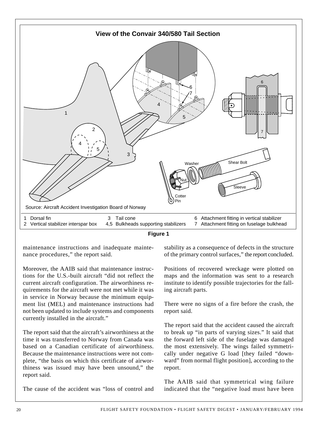



maintenance instructions and inadequate maintenance procedures," the report said.

Moreover, the AAIB said that maintenance instructions for the U.S.-built aircraft "did not reflect the current aircraft configuration. The airworthiness requirements for the aircraft were not met while it was in service in Norway because the minimum equipment list (MEL) and maintenance instructions had not been updated to include systems and components currently installed in the aircraft."

The report said that the aircraft's airworthiness at the time it was transferred to Norway from Canada was based on a Canadian certificate of airworthiness. Because the maintenance instructions were not complete, "the basis on which this certificate of airworthiness was issued may have been unsound," the report said.

The cause of the accident was "loss of control and

stability as a consequence of defects in the structure of the primary control surfaces," the report concluded.

Positions of recovered wreckage were plotted on maps and the information was sent to a research institute to identify possible trajectories for the falling aircraft parts.

There were no signs of a fire before the crash, the report said.

The report said that the accident caused the aircraft to break up "in parts of varying sizes." It said that the forward left side of the fuselage was damaged the most extensively. The wings failed symmetrically under negative G load [they failed "downward" from normal flight position], according to the report.

The AAIB said that symmetrical wing failure indicated that the "negative load must have been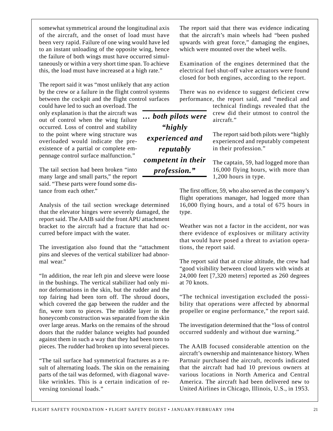somewhat symmetrical around the longitudinal axis of the aircraft, and the onset of load must have been very rapid. Failure of one wing would have led to an instant unloading of the opposite wing, hence the failure of both wings must have occurred simultaneously or within a very short time span. To achieve this, the load must have increased at a high rate."

The report said it was "most unlikely that any action by the crew or a failure in the flight control systems between the cockpit and the flight control surfaces

could have led to such an overload. The only explanation is that the aircraft was out of control when the wing failure occurred. Loss of control and stability to the point where wing structure was overloaded would indicate the preexistence of a partial or complete empennage control surface malfunction."

The tail section had been broken "into many large and small parts," the report said. "These parts were found some distance from each other."

Analysis of the tail section wreckage determined that the elevator hinges were severely damaged, the report said. The AAIB said the front APU attachment bracket to the aircraft had a fracture that had occurred before impact with the water.

The investigation also found that the "attachment pins and sleeves of the vertical stabilizer had abnormal wear."

"In addition, the rear left pin and sleeve were loose in the bushings. The vertical stabilizer had only minor deformations in the skin, but the rudder and the top fairing had been torn off. The shroud doors, which covered the gap between the rudder and the fin, were torn to pieces. The middle layer in the honeycomb construction was separated from the skin over large areas. Marks on the remains of the shroud doors that the rudder balance weights had pounded against them in such a way that they had been torn to pieces. The rudder had broken up into several pieces.

"The tail surface had symmetrical fractures as a result of alternating loads. The skin on the remaining parts of the tail was deformed, with diagonal wavelike wrinkles. This is a certain indication of reversing torsional loads."

The report said that there was evidence indicating that the aircraft's main wheels had "been pushed upwards with great force," damaging the engines, which were mounted over the wheel wells.

Examination of the engines determined that the electrical fuel shut-off valve actuators were found closed for both engines, according to the report.

There was no evidence to suggest deficient crew performance, the report said, and "medical and

> technical findings revealed that the crew did their utmost to control the aircraft."

The report said both pilots were "highly experienced and reputably competent in their profession."

The captain, 59, had logged more than 16,000 flying hours, with more than 1,200 hours in type.

The first officer, 59, who also served as the company's flight operations manager, had logged more than 16,000 flying hours, and a total of 675 hours in type.

Weather was not a factor in the accident, nor was there evidence of explosives or military activity that would have posed a threat to aviation operations, the report said.

The report said that at cruise altitude, the crew had "good visibility between cloud layers with winds at 24,000 feet [7,320 meters] reported as 260 degrees at 70 knots.

"The technical investigation excluded the possibility that operations were affected by abnormal propeller or engine performance," the report said.

The investigation determined that the "loss of control occurred suddenly and without due warning."

The AAIB focused considerable attention on the aircraft's ownership and maintenance history. When Partnair purchased the aircraft, records indicated that the aircraft had had 10 previous owners at various locations in North America and Central America. The aircraft had been delivered new to United Airlines in Chicago, Illinois, U.S., in 1953.

*"highly experienced and reputably competent in their profession."*

*… both pilots were*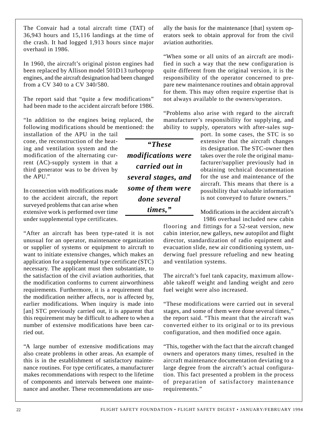The Convair had a total aircraft time (TAT) of 36,943 hours and 15,116 landings at the time of the crash. It had logged 1,913 hours since major overhaul in 1986.

In 1960, the aircraft's original piston engines had been replaced by Allison model 501D13 turboprop engines, and the aircraft designation had been changed from a CV 340 to a CV 340/580.

The report said that "quite a few modifications" had been made to the accident aircraft before 1986.

"In addition to the engines being replaced, the following modifications should be mentioned: the

installation of the APU in the tail cone, the reconstruction of the heating and ventilation system and the modification of the alternating current (AC)-supply system in that a third generator was to be driven by the APU."

In connection with modifications made to the accident aircraft, the report surveyed problems that can arise when extensive work is performed over time under supplemental type certificates.

"After an aircraft has been type-rated it is not unusual for an operator, maintenance organization or supplier of systems or equipment to aircraft to want to initiate extensive changes, which makes an application for a supplemental type certificate (STC) necessary. The applicant must then substantiate, to the satisfaction of the civil aviation authorities, that the modification conforms to current airworthiness requirements. Furthermore, it is a requirement that the modification neither affects, nor is affected by, earlier modifications. When inquiry is made into [an] STC previously carried out, it is apparent that this requirement may be difficult to adhere to when a number of extensive modifications have been carried out.

"A large number of extensive modifications may also create problems in other areas. An example of this is in the establishment of satisfactory maintenance routines. For type certificates, a manufacturer makes recommendations with respect to the lifetime of components and intervals between one maintenance and another. These recommendations are usu-

*"These modifications were carried out in several stages, and some of them were done several times,"*

ally the basis for the maintenance [that] system operators seek to obtain approval for from the civil aviation authorities.

"When some or all units of an aircraft are modified in such a way that the new configuration is quite different from the original version, it is the responsibility of the operator concerned to prepare new maintenance routines and obtain approval for them. This may often require expertise that is not always available to the owners/operators.

"Problems also arise with regard to the aircraft manufacturer's responsibility for supplying, and ability to supply, operators with after-sales sup-

> port. In some cases, the STC is so extensive that the aircraft changes its designation. The STC-owner then takes over the role the original manufacturer/supplier previously had in obtaining technical documentation for the use and maintenance of the aircraft. This means that there is a possibility that valuable information is not conveyed to future owners."

> Modifications in the accident aircraft's 1986 overhaul included new cabin

flooring and fittings for a 52-seat version, new cabin interior, new galleys, new autopilot and flight director, standardization of radio equipment and evacuation slide, new air conditioning system, underwing fuel pressure refueling and new heating and ventilation systems.

The aircraft's fuel tank capacity, maximum allowable takeoff weight and landing weight and zero fuel weight were also increased.

"These modifications were carried out in several stages, and some of them were done several times," the report said. "This meant that the aircraft was converted either to its original or to its previous configuration, and then modified once again.

"This, together with the fact that the aircraft changed owners and operators many times, resulted in the aircraft maintenance documentation deviating to a large degree from the aircraft's actual configuration. This fact presented a problem in the process of preparation of satisfactory maintenance requirements."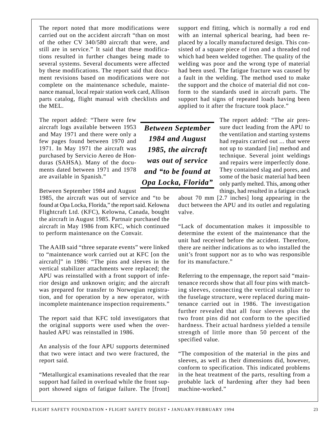The report noted that more modifications were carried out on the accident aircraft "than on most of the other CV 340/580 aircraft that were, and still are in service." It said that these modifications resulted in further changes being made to several systems. Several documents were affected by these modifications. The report said that document revisions based on modifications were not complete on the maintenance schedule, maintenance manual, local repair station work card, Allison parts catalog, flight manual with checklists and the MEL.

The report added: "There were few aircraft logs available between 1953 and May 1971 and there were only a few pages found between 1970 and 1971. In May 1971 the aircraft was purchased by Servicio Aereo de Honduras (SAHSA). Many of the documents dated between 1971 and 1978 are available in Spanish."

Between September 1984 and August

1985, the aircraft was out of service and "to be found at Opa Locka, Florida," the report said. Kelowna Flightcraft Ltd. (KFC), Kelowna, Canada, bought the aircraft in August 1985. Partnair purchased the aircraft in May 1986 from KFC, which continued to perform maintenance on the Convair.

The AAIB said "three separate events" were linked to "maintenance work carried out at KFC [on the aircraft]" in 1986: "The pins and sleeves in the vertical stabilizer attachments were replaced; the APU was reinstalled with a front support of inferior design and unknown origin; and the aircraft was prepared for transfer to Norwegian registration, and for operation by a new operator, with incomplete maintenance inspection requirements."

The report said that KFC told investigators that the original supports were used when the overhauled APU was reinstalled in 1986.

An analysis of the four APU supports determined that two were intact and two were fractured, the report said.

"Metallurgical examinations revealed that the rear support had failed in overload while the front support showed signs of fatigue failure. The [front] support end fitting, which is normally a rod end with an internal spherical bearing, had been replaced by a locally manufactured design. This consisted of a square piece of iron and a threaded rod which had been welded together. The quality of the welding was poor and the wrong type of material had been used. The fatigue fracture was caused by a fault in the welding. The method used to make the support and the choice of material did not conform to the standards used in aircraft parts. The support had signs of repeated loads having been applied to it after the fracture took place."

*Between September 1984 and August 1985, the aircraft was out of service and "to be found at Opa Locka, Florida"* The report added: "The air pressure duct leading from the APU to the ventilation and starting systems had repairs carried out ... that were not up to standard [in] method and technique. Several joint weldings and repairs were imperfectly done. They contained slag and pores, and some of the basic material had been only partly melted. This, among other things, had resulted in a fatigue crack

about 70 mm [2.7 inches] long appearing in the duct between the APU and its outlet and regulating valve.

"Lack of documentation makes it impossible to determine the extent of the maintenance that the unit had received before the accident. Therefore, there are neither indications as to who installed the unit's front support nor as to who was responsible for its manufacture."

Referring to the empennage, the report said "maintenance records show that all four pins with matching sleeves, connecting the vertical stabilizer to the fuselage structure, were replaced during maintenance carried out in 1986. The investigation further revealed that all four sleeves plus the two front pins did not conform to the specified hardness. Their actual hardness yielded a tensile strength of little more than 50 percent of the specified value.

"The composition of the material in the pins and sleeves, as well as their dimensions did, however, conform to specification. This indicated problems in the heat treatment of the parts, resulting from a probable lack of hardening after they had been machine-worked."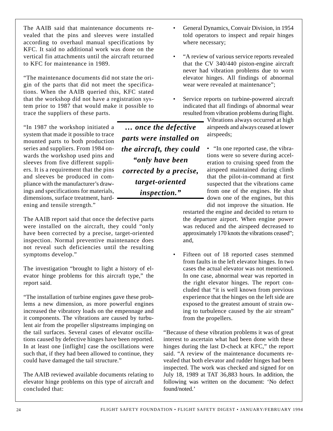The AAIB said that maintenance documents revealed that the pins and sleeves were installed according to overhaul manual specifications by KFC. It said no additional work was done on the vertical fin attachments until the aircraft returned to KFC for maintenance in 1989.

"The maintenance documents did not state the origin of the parts that did not meet the specifications. When the AAIB queried this, KFC stated that the workshop did not have a registration system prior to 1987 that would make it possible to trace the suppliers of these parts.

"In 1987 the workshop initiated a system that made it possible to trace mounted parts to both production series and suppliers. From 1984 onwards the workshop used pins and sleeves from five different suppliers. It is a requirement that the pins and sleeves be produced in compliance with the manufacturer's drawings and specifications for materials, dimensions, surface treatment, hardening and tensile strength."

The AAIB report said that once the defective parts were installed on the aircraft, they could "only have been corrected by a precise, target-oriented inspection. Normal preventive maintenance does not reveal such deficiencies until the resulting symptoms develop."

The investigation "brought to light a history of elevator hinge problems for this aircraft type," the report said.

"The installation of turbine engines gave these problems a new dimension, as more powerful engines increased the vibratory loads on the empennage and it components. The vibrations are caused by turbulent air from the propeller slipstreams impinging on the tail surfaces. Several cases of elevator oscillations caused by defective hinges have been reported. In at least one [inflight] case the oscillations were such that, if they had been allowed to continue, they could have damaged the tail structure."

The AAIB reviewed available documents relating to elevator hinge problems on this type of aircraft and concluded that:

*… once the defective parts were installed on the aircraft, they could "only have been corrected by a precise, target-oriented inspection."*

- General Dynamics, Convair Division, in 1954 told operators to inspect and repair hinges where necessary;
- "A review of various service reports revealed that the CV 340/440 piston-engine aircraft never had vibration problems due to worn elevator hinges. All findings of abnormal wear were revealed at maintenance";
- Service reports on turbine-powered aircraft indicated that all findings of abnormal wear resulted from vibration problems during flight.

Vibrations always occurred at high airspeeds and always ceased at lower airspeeds;

• "In one reported case, the vibrations were so severe during acceleration to cruising speed from the airspeed maintained during climb that the pilot-in-command at first suspected that the vibrations came from one of the engines. He shut down one of the engines, but this did not improve the situation. He

restarted the engine and decided to return to the departure airport. When engine power was reduced and the airspeed decreased to approximately 170 knots the vibrations ceased"; and,

Fifteen out of 18 reported cases stemmed from faults in the left elevator hinges. In two cases the actual elevator was not mentioned. In one case, abnormal wear was reported in the right elevator hinges. The report concluded that "it is well known from previous experience that the hinges on the left side are exposed to the greatest amount of strain owing to turbulence caused by the air stream" from the propellers.

"Because of these vibration problems it was of great interest to ascertain what had been done with these hinges during the last D-check at KFC," the report said. "A review of the maintenance documents revealed that both elevator and rudder hinges had been inspected. The work was checked and signed for on July 18, 1989 at TAT 36,883 hours. In addition, the following was written on the document: 'No defect found/noted.'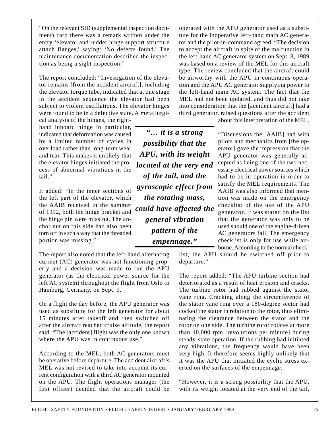"On the relevant SID (supplemental inspection document) card there was a remark written under the entry 'elevator and rudder hinge support structure attach flanges,' saying: 'No defects found.' The maintenance documentation described the inspection as being a sight inspection."

The report concluded: "Investigation of the elevator remains [from the accident aircraft], including the elevator torque tube, indicated that at one stage in the accident sequence the elevator had been subject to violent oscillations. The elevator hinges were found to be in a defective state. A metallurgi-

cal analysis of the hinges, the righthand inboard hinge in particular, indicated that deformation was caused by a limited number of cycles in overload rather than long-term wear and tear. This makes it unlikely that the elevator hinges initiated the process of abnormal vibrations in the tail."

It added: "In the inner sections of the left part of the elevator, which the AAIB received in the summer of 1992, both the hinge bracket and the hinge pin were missing. The anchor nut on this side had also been torn off in such a way that the threaded portion was missing."

The report also noted that the left-hand alternating current (AC) generator was not functioning properly and a decision was made to run the APU generator (as the electrical power source for the left AC system) throughout the flight from Oslo to Hamburg, Germany, on Sept. 9.

On a flight the day before, the APU generator was used as substitute for the left generator for about 15 minutes after takeoff and then switched off after the aircraft reached cruise altitude, the report said. "The [accident] flight was the only one known where the APU was in continuous use."

According to the MEL, both AC generators must be operative before departure. The accident aircraft's MEL was not revised to take into account its current configuration with a third AC generator mounted on the APU. The flight operations manager (the first officer) decided that the aircraft could be operated with the APU generator used as a substitute for the inoperative left-hand main AC generator and the pilot-in-command agreed. "The decision to accept the aircraft in spite of the malfunction in the left-hand AC generator system on Sept. 8, 1989 was based on a review of the MEL for this aircraft type. The review concluded that the aircraft could be airworthy with the APU in continuous operation and the APU AC generator supplying power to the left-hand main AC system. The fact that the MEL had not been updated, and thus did not take into consideration that the [accident aircraft] had a third generator, raised questions after the accident

about this interpretation of the MEL.

*"… it is a strong possibility that the APU, with its weight located at the very end of the tail, and the gyroscopic effect from the rotating mass, could have affected the general vibration pattern of the empennage."*

"Discussions the [AAIB] had with pilots and mechanics from [the operator] gave the impression that the APU generator was generally accepted as being one of the two necessary electrical power sources which had to be in operation in order to satisfy the MEL requirements. The AAIB was also informed that mention was made on the emergency checklist of the use of the APU generator. It was stated on the list that the generator was only to be used should one of the engine-driven AC generators fail. The emergency checklist is only for use while airborne. According to the normal check-

list, the APU should be switched off prior to departure."

The report added: "The APU turbine section had deteriorated as a result of heat erosion and cracks. The turbine rotor had rubbed against the stator vane ring. Cracking along the circumference of the stator vane ring over a 180-degree sector had cocked the stator in relation to the rotor, thus eliminating the clearance between the stator and the rotor on one side. The turbine rotor rotates at more than 40,000 rpm [revolutions per minute] during steady-state operation. If the rubbing had initiated any vibrations, the frequency would have been very high. It therefore seems highly unlikely that it was the APU that initiated the cyclic stress exerted on the surfaces of the empennage.

"However, it is a strong possibility that the APU, with its weight located at the very end of the tail,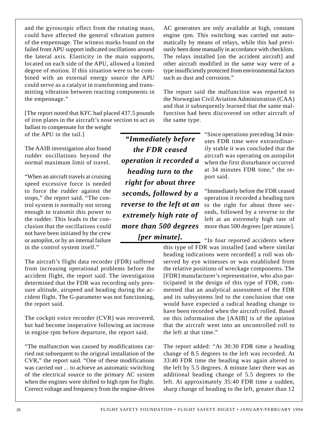and the gyroscopic effect from the rotating mass, could have affected the general vibration pattern of the empennage. The witness marks found on the failed front APU support indicated oscillations around the lateral axis. Elasticity in the main supports, located on each side of the APU, allowed a limited degree of motion. If this situation were to be combined with an external energy source the APU could serve as a catalyst in transforming and transmitting vibration between reacting components in the empennage."

[The report noted that KFC had placed 437.5 pounds of iron plates in the aircraft's nose section to act as

ballast to compensate for the weight of the APU in the tail.]

The AAIB investigation also found rudder oscillations beyond the normal maximum limit of travel.

"When an aircraft travels at cruising speed excessive force is needed to force the rudder against the stops," the report said. "The control system is normally not strong enough to transmit this power to the rudder. This leads to the conclusion that the oscillations could not have been initiated by the crew or autopilot, or by an internal failure in the control system itself."

The aircraft's flight data recorder (FDR) suffered from increasing operational problems before the accident flight, the report said. The investigation determined that the FDR was recording only pressure altitude, airspeed and heading during the accident flight. The G-parameter was not functioning, the report said.

The cockpit voice recorder (CVR) was recovered, but had become inoperative following an increase in engine rpm before departure, the report said.

"The malfunction was caused by modifications carried out subsequent to the original installation of the CVR," the report said. "One of these modifications was carried out ... to achieve an automatic switching of the electrical source to the primary AC system when the engines were shifted to high rpm for flight. Correct voltage and frequency from the engine-driven

*"Immediately before the FDR ceased operation it recorded a heading turn to the right for about three seconds, followed by a reverse to the left at an extremely high rate of more than 500 degrees [per minute].*

AC generators are only available at high, constant engine rpm. This switching was carried out automatically by means of relays, while this had previously been done manually in accordance with checklists. The relays installed [on the accident aircraft] and other aircraft modified in the same way were of a type insufficiently protected from environmental factors such as dust and corrosion."

The report said the malfunction was reported to the Norwegian Civil Aviation Administration (CAA) and that it subsequently learned that the same malfunction had been discovered on other aircraft of the same type.

> "Since operations preceding 34 minutes FDR time were extraordinarily stable it was concluded that the aircraft was operating on autopilot when the first disturbance occurred at 34 minutes FDR time," the report said.

> "Immediately before the FDR ceased operation it recorded a heading turn to the right for about three seconds, followed by a reverse to the left at an extremely high rate of more than 500 degrees [per minute].

"In four reported accidents where this type of FDR was installed [and where similar heading indications were recorded] a roll was observed by eye witnesses or was established from the relative positions of wreckage components. The [FDR] manufacturer's representative, who also participated in the design of this type of FDR, commented that an analytical assessment of the FDR and its subsystems led to the conclusion that one would have expected a radical heading change to have been recorded when the aircraft rolled. Based on this information the [AAIB] is of the opinion that the aircraft went into an uncontrolled roll to the left at that time."

The report added: "At 30:30 FDR time a heading change of 8.5 degrees to the left was recorded. At 33:40 FDR time the heading was again altered to the left by 5.5 degrees. A minute later there was an additional heading change of 5.5 degrees to the left. At approximately 35:40 FDR time a sudden, sharp change of heading to the left, greater than 12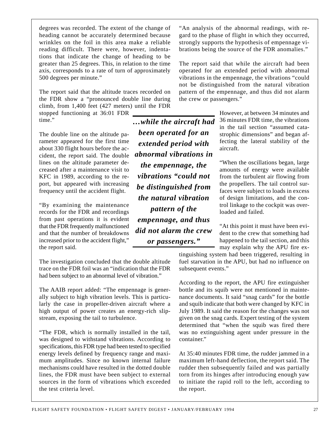degrees was recorded. The extent of the change of heading cannot be accurately determined because wrinkles on the foil in this area make a reliable reading difficult. There were, however, indentations that indicate the change of heading to be greater than 25 degrees. This, in relation to the time axis, corresponds to a rate of turn of approximately 500 degrees per minute."

The report said that the altitude traces recorded on the FDR show a "pronounced double line during climb, from 1,400 feet (427 meters) until the FDR

stopped functioning at 36:01 FDR time."

The double line on the altitude parameter appeared for the first time about 330 flight hours before the accident, the report said. The double lines on the altitude parameter decreased after a maintenance visit to KFC in 1989, according to the report, but appeared with increasing frequency until the accident flight.

"By examining the maintenance records for the FDR and recordings from past operations it is evident that the FDR frequently malfunctioned and that the number of breakdowns increased prior to the accident flight," the report said.

The investigation concluded that the double altitude trace on the FDR foil was an "indication that the FDR had been subject to an abnormal level of vibration."

The AAIB report added: "The empennage is generally subject to high vibration levels. This is particularly the case in propeller-driven aircraft where a high output of power creates an energy-rich slipstream, exposing the tail to turbulence.

"The FDR, which is normally installed in the tail, was designed to withstand vibrations. According to specifications, this FDR type had been tested to specified energy levels defined by frequency range and maximum amplitudes. Since no known internal failure mechanisms could have resulted in the dotted double lines, the FDR must have been subject to external sources in the form of vibrations which exceeded the test criteria level.

*…while the aircraft had been operated for an extended period with abnormal vibrations in the empennage, the vibrations "could not be distinguished from the natural vibration pattern of the empennage, and thus did not alarm the crew or passengers."*

"An analysis of the abnormal readings, with regard to the phase of flight in which they occurred, strongly supports the hypothesis of empennage vibrations being the source of the FDR anomalies."

The report said that while the aircraft had been operated for an extended period with abnormal vibrations in the empennage, the vibrations "could not be distinguished from the natural vibration pattern of the empennage, and thus did not alarm the crew or passengers."

> However, at between 34 minutes and 36 minutes FDR time, the vibrations in the tail section "assumed catastrophic dimensions" and began affecting the lateral stability of the aircraft.

> "When the oscillations began, large amounts of energy were available from the turbulent air flowing from the propellers. The tail control surfaces were subject to loads in excess of design limitations, and the control linkage to the cockpit was overloaded and failed.

> "At this point it must have been evident to the crew that something had happened to the tail section, and this may explain why the APU fire ex-

tinguishing system had been triggered, resulting in fuel starvation in the APU, but had no influence on subsequent events."

According to the report, the APU fire extinguisher bottle and its squib were not mentioned in maintenance documents. It said "snag cards" for the bottle and squib indicate that both were changed by KFC in July 1989. It said the reason for the changes was not given on the snag cards. Expert testing of the system determined that "when the squib was fired there was no extinguishing agent under pressure in the container."

At 35:40 minutes FDR time, the rudder jammed in a maximum left-hand deflection, the report said. The rudder then subsequently failed and was partially torn from its hinges after introducing enough yaw to initiate the rapid roll to the left, according to the report.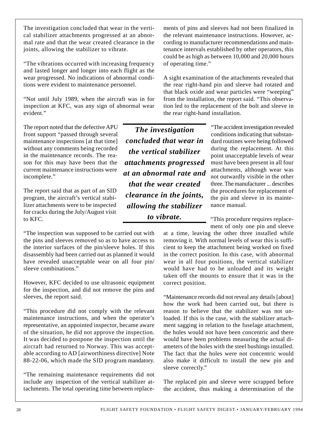The investigation concluded that wear in the vertical stabilizer attachments progressed at an abnormal rate and that the wear created clearance in the joints, allowing the stabilizer to vibrate.

"The vibrations occurred with increasing frequency and lasted longer and longer into each flight as the wear progressed. No indications of abnormal conditions were evident to maintenance personnel.

"Not until July 1989, when the aircraft was in for inspection at KFC, was any sign of abnormal wear evident."

The report noted that the defective APU front support "passed through several maintenance inspections [at that time] without any comments being recorded in the maintenance records. The reason for this may have been that the current maintenance instructions were incomplete."

The report said that as part of an SID program, the aircraft's vertical stabilizer attachments were to be inspected for cracks during the July/August visit to KFC.

"The inspection was supposed to be carried out with the pins and sleeves removed so as to have access to the interior surfaces of the pin/sleeve holes. If this disassembly had been carried out as planned it would have revealed unacceptable wear on all four pin/ sleeve combinations."

However, KFC decided to use ultrasonic equipment for the inspection, and did not remove the pins and sleeves, the report said.

"This procedure did not comply with the relevant maintenance instructions, and when the operator's representative, an appointed inspector, became aware of the situation, he did not approve the inspection. It was decided to postpone the inspection until the aircraft had returned to Norway. This was acceptable according to AD [airworthiness directive] Note 88-22-06, which made the SID program mandatory.

"The remaining maintenance requirements did not include any inspection of the vertical stabilizer attachments. The total operating time between replacements of pins and sleeves had not been finalized in the relevant maintenance instructions. However, according to manufacturer recommendations and maintenance intervals established by other operators, this could be as high as between 10,000 and 20,000 hours of operating time."

A sight examination of the attachments revealed that the rear right-hand pin and sleeve had rotated and that black oxide and wear particles were "weeping" from the installation, the report said. "This observation led to the replacement of the bolt and sleeve in the rear right-hand installation.

*The investigation concluded that wear in the vertical stabilizer attachments progressed at an abnormal rate and that the wear created clearance in the joints, allowing the stabilizer to vibrate.*

"The accident investigation revealed conditions indicating that substandard routines were being followed during the replacement. At this point unacceptable levels of wear must have been present in all four attachments, although wear was not outwardly visible in the other three. The manufacturer ... describes the procedures for replacement of the pin and sleeve in its maintenance manual.

"This procedure requires replacement of only one pin and sleeve

at a time, leaving the other three installed while removing it. With normal levels of wear this is sufficient to keep the attachment being worked on fixed in the correct position. In this case, with abnormal wear in all four positions, the vertical stabilizer would have had to be unloaded and its weight taken off the mounts to ensure that it was in the correct position.

"Maintenance records did not reveal any details [about] how the work had been carried out, but there is reason to believe that the stabilizer was not unloaded. If this is the case, with the stabilizer attachment sagging in relation to the fuselage attachment, the holes would not have been concentric and there would have been problems measuring the actual diameters of the holes with the steel bushings installed. The fact that the holes were not concentric would also make it difficult to install the new pin and sleeve correctly."

The replaced pin and sleeve were scrapped before the accident, thus making a determination of the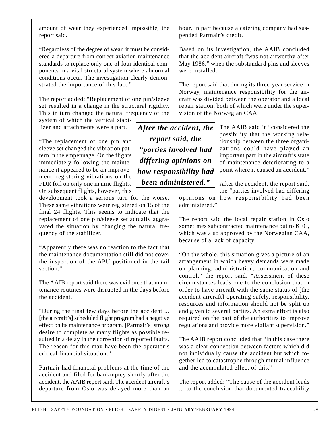amount of wear they experienced impossible, the report said.

"Regardless of the degree of wear, it must be considered a departure from correct aviation maintenance standards to replace only one of four identical components in a vital structural system where abnormal conditions occur. The investigation clearly demonstrated the importance of this fact."

The report added: "Replacement of one pin/sleeve set resulted in a change in the structural rigidity. This in turn changed the natural frequency of the

system of which the vertical stabilizer and attachments were a part.

"The replacement of one pin and sleeve set changed the vibration pattern in the empennage. On the flights immediately following the maintenance it appeared to be an improvement, registering vibrations on the FDR foil on only one in nine flights. On subsequent flights, however, this

development took a serious turn for the worse. These same vibrations were registered on 15 of the final 24 flights. This seems to indicate that the replacement of one pin/sleeve set actually aggravated the situation by changing the natural frequency of the stabilizer.

"Apparently there was no reaction to the fact that the maintenance documentation still did not cover the inspection of the APU positioned in the tail section."

The AAIB report said there was evidence that maintenance routines were disrupted in the days before the accident.

"During the final few days before the accident ... [the aircraft's] scheduled flight program had a negative effect on its maintenance program. [Partnair's] strong desire to complete as many flights as possible resulted in a delay in the correction of reported faults. The reason for this may have been the operator's critical financial situation."

Partnair had financial problems at the time of the accident and filed for bankruptcy shortly after the accident, the AAIB report said. The accident aircraft's departure from Oslo was delayed more than an

hour, in part because a catering company had suspended Partnair's credit.

Based on its investigation, the AAIB concluded that the accident aircraft "was not airworthy after May 1986," when the substandard pins and sleeves were installed.

The report said that during its three-year service in Norway, maintenance responsibility for the aircraft was divided between the operator and a local repair station, both of which were under the supervision of the Norwegian CAA.

*After the accident, the report said, the "parties involved had differing opinions on how responsibility had been administered."*

The AAIB said it "considered the possibility that the working relationship between the three organizations could have played an important part in the aircraft's state of maintenance deteriorating to a point where it caused an accident."

After the accident, the report said, the "parties involved had differing opinions on how responsibility had been administered."

The report said the local repair station in Oslo sometimes subcontracted maintenance out to KFC, which was also approved by the Norwegian CAA, because of a lack of capacity.

"On the whole, this situation gives a picture of an arrangement in which heavy demands were made on planning, administration, communication and control," the report said. "Assessment of these circumstances leads one to the conclusion that in order to have aircraft with the same status of [the accident aircraft] operating safely, responsibility, resources and information should not be split up and given to several parties. An extra effort is also required on the part of the authorities to improve regulations and provide more vigilant supervision."

The AAIB report concluded that "in this case there was a clear connection between factors which did not individually cause the accident but which together led to catastrophe through mutual influence and the accumulated effect of this."

The report added: "The cause of the accident leads ... to the conclusion that documented traceability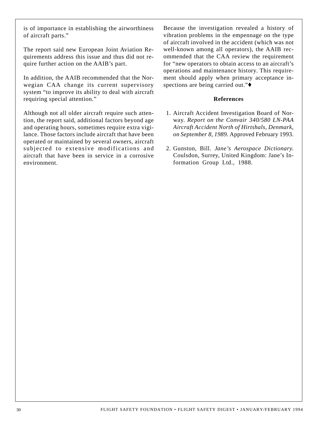is of importance in establishing the airworthiness of aircraft parts."

The report said new European Joint Aviation Requirements address this issue and thus did not require further action on the AAIB's part.

In addition, the AAIB recommended that the Norwegian CAA change its current supervisory system "to improve its ability to deal with aircraft requiring special attention."

Although not all older aircraft require such attention, the report said, additional factors beyond age and operating hours, sometimes require extra vigilance. Those factors include aircraft that have been operated or maintained by several owners, aircraft subjected to extensive modifications and aircraft that have been in service in a corrosive environment.

Because the investigation revealed a history of vibration problems in the empennage on the type of aircraft involved in the accident (which was not well-known among all operators), the AAIB recommended that the CAA review the requirement for "new operators to obtain access to an aircraft's operations and maintenance history. This requirement should apply when primary acceptance inspections are being carried out."♦

#### **References**

- 1. Aircraft Accident Investigation Board of Norway. *Report on the Convair 340/580 LN-PAA Aircraft Accident North of Hirtshals, Denmark, on September 8, 1989.* Approved February 1993.
- 2. Gunston, Bill. *Jane's Aerospace Dictionary.* Coulsdon, Surrey, United Kingdom: Jane's Information Group Ltd., 1988.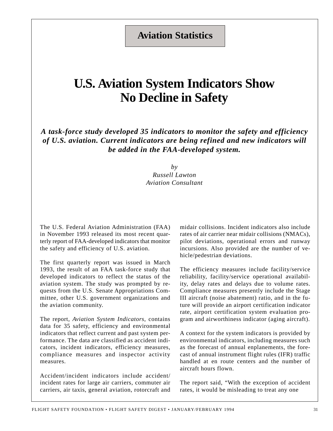### **Aviation Statistics**

## **U.S. Aviation System Indicators Show No Decline in Safety**

*A task-force study developed 35 indicators to monitor the safety and efficiency of U.S. aviation. Current indicators are being refined and new indicators will be added in the FAA-developed system.*

> *by Russell Lawton Aviation Consultant*

The U.S. Federal Aviation Administration (FAA) in November 1993 released its most recent quarterly report of FAA-developed indicators that monitor the safety and efficiency of U.S. aviation.

The first quarterly report was issued in March 1993, the result of an FAA task-force study that developed indicators to reflect the status of the aviation system. The study was prompted by requests from the U.S. Senate Appropriations Committee, other U.S. government organizations and the aviation community.

The report, *Aviation System Indicators*, contains data for 35 safety, efficiency and environmental indicators that reflect current and past system performance. The data are classified as accident indicators, incident indicators, efficiency measures, compliance measures and inspector activity measures.

Accident/incident indicators include accident/ incident rates for large air carriers, commuter air carriers, air taxis, general aviation, rotorcraft and midair collisions. Incident indicators also include rates of air carrier near midair collisions (NMACs), pilot deviations, operational errors and runway incursions. Also provided are the number of vehicle/pedestrian deviations.

The efficiency measures include facility/service reliability, facility/service operational availability, delay rates and delays due to volume rates. Compliance measures presently include the Stage III aircraft (noise abatement) ratio, and in the future will provide an airport certification indicator rate, airport certification system evaluation program and airworthiness indicator (aging aircraft).

A context for the system indicators is provided by environmental indicators, including measures such as the forecast of annual enplanements, the forecast of annual instrument flight rules (IFR) traffic handled at en route centers and the number of aircraft hours flown.

The report said, "With the exception of accident rates, it would be misleading to treat any one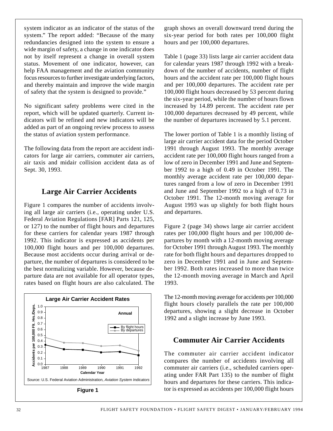system indicator as an indicator of the status of the system." The report added: "Because of the many redundancies designed into the system to ensure a wide margin of safety, a change in one indicator does not by itself represent a change in overall system status. Movement of one indicator, however, can help FAA management and the aviation community focus resources to further investigate underlying factors, and thereby maintain and improve the wide margin of safety that the system is designed to provide."

No significant safety problems were cited in the report, which will be updated quarterly. Current indicators will be refined and new indicators will be added as part of an ongoing review process to assess the status of aviation system performance.

The following data from the report are accident indicators for large air carriers, commuter air carriers, air taxis and midair collision accident data as of Sept. 30, 1993.

#### **Large Air Carrier Accidents**

Figure 1 compares the number of accidents involving all large air carriers (i.e., operating under U.S. Federal Aviation Regulations [FAR] Parts 121, 125, or 127) to the number of flight hours and departures for these carriers for calendar years 1987 through 1992. This indicator is expressed as accidents per 100,000 flight hours and per 100,000 departures. Because most accidents occur during arrival or departure, the number of departures is considered to be the best normalizing variable. However, because departure data are not available for all operator types, rates based on flight hours are also calculated. The



**Figure 1**

graph shows an overall downward trend during the six-year period for both rates per 100,000 flight hours and per 100,000 departures.

Table 1 (page 33) lists large air carrier accident data for calendar years 1987 through 1992 with a breakdown of the number of accidents, number of flight hours and the accident rate per 100,000 flight hours and per 100,000 departures. The accident rate per 100,000 flight hours decreased by 53 percent during the six-year period, while the number of hours flown increased by 14.89 percent. The accident rate per 100,000 departures decreased by 49 percent, while the number of departures increased by 5.1 percent.

The lower portion of Table 1 is a monthly listing of large air carrier accident data for the period October 1991 through August 1993. The monthly average accident rate per 100,000 flight hours ranged from a low of zero in December 1991 and June and September 1992 to a high of 0.49 in October 1991. The monthly average accident rate per 100,000 departures ranged from a low of zero in December 1991 and June and September 1992 to a high of 0.73 in October 1991. The 12-month moving average for August 1993 was up slightly for both flight hours and departures.

Figure 2 (page 34) shows large air carrier accident rates per 100,000 flight hours and per 100,000 departures by month with a 12-month moving average for October 1991 through August 1993. The monthly rate for both flight hours and departures dropped to zero in December 1991 and in June and September 1992. Both rates increased to more than twice the 12-month moving average in March and April 1993.

The 12-month moving average for accidents per 100,000 flight hours closely parallels the rate per 100,000 departures, showing a slight decrease in October 1992 and a slight increase by June 1993.

### **Commuter Air Carrier Accidents**

The commuter air carrier accident indicator compares the number of accidents involving all commuter air carriers (i.e., scheduled carriers operating under FAR Part 135) to the number of flight hours and departures for these carriers. This indicator is expressed as accidents per 100,000 flight hours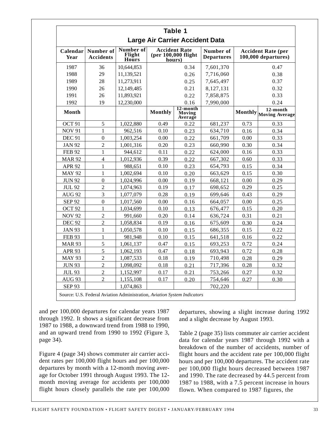|                                        |                               |                                     |                                                       | Table 1                          |                                |                                                  |                                    |
|----------------------------------------|-------------------------------|-------------------------------------|-------------------------------------------------------|----------------------------------|--------------------------------|--------------------------------------------------|------------------------------------|
| <b>Large Air Carrier Accident Data</b> |                               |                                     |                                                       |                                  |                                |                                                  |                                    |
| Calendar<br>Year                       | Number of<br><b>Accidents</b> | Number of<br>Flight<br><b>Hours</b> | <b>Accident Rate</b><br>(per 100,000 flight<br>hours) |                                  | Number of<br><b>Departures</b> | <b>Accident Rate (per</b><br>100,000 departures) |                                    |
| 1987                                   | 36                            | 10,644,853                          |                                                       | 0.34                             | 7,601,370                      |                                                  | 0.47                               |
| 1988                                   | 29                            | 11,139,521                          |                                                       | 0.26                             | 7,716,060                      |                                                  | 0.38                               |
| 1989                                   | 28                            | 11,273,911                          |                                                       | 0.25                             | 7,645,497                      |                                                  | 0.37                               |
| 1990                                   | 26                            | 12,149,485                          |                                                       | 0.21                             | 8,127,131                      |                                                  | 0.32                               |
| 1991                                   | 26                            | 11,893,921                          |                                                       | 0.22                             | 7,858,875                      |                                                  | 0.33                               |
| 1992                                   | 19                            | 12,230,000                          |                                                       | 0.16                             | 7,990,000                      |                                                  | 0.24                               |
| Month                                  |                               |                                     | <b>Monthly</b>                                        | $12$ -month<br>Moving<br>Average |                                |                                                  | 12-month<br>Monthly Moving Average |
| OCT <sub>91</sub>                      | 5                             | 1,022,880                           | 0.49                                                  | 0.22                             | 681,237                        | 0.73                                             | 0.33                               |
| <b>NOV 91</b>                          | 1                             | 962,516                             | 0.10                                                  | 0.23                             | 634,710                        | 0.16                                             | 0.34                               |
| <b>DEC 91</b>                          | $\overline{0}$                | 1,003,254                           | 0.00                                                  | 0.22                             | 661,709                        | 0.00                                             | 0.33                               |
| <b>JAN 92</b>                          | $\overline{c}$                | 1,001,316                           | 0.20                                                  | 0.23                             | 660,990                        | 0.30                                             | 0.34                               |
| <b>FEB 92</b>                          | $\mathbf{1}$                  | 944,612                             | 0.11                                                  | 0.22                             | 624,000                        | 0.16                                             | 0.33                               |
| <b>MAR 92</b>                          | $\overline{4}$                | 1,012,936                           | 0.39                                                  | 0.22                             | 667,302                        | 0.60                                             | 0.33                               |
| <b>APR 92</b>                          | $\mathbf{1}$                  | 988,651                             | 0.10                                                  | 0.23                             | 654,793                        | 0.15                                             | 0.34                               |
| <b>MAY 92</b>                          | $\mathbf{1}$                  | 1,002,694                           | 0.10                                                  | 0.20                             | 663,629                        | 0.15                                             | 0.30                               |
| <b>JUN 92</b>                          | $\boldsymbol{0}$              | 1,024,996                           | 0.00                                                  | 0.19                             | 668,121                        | 0.00                                             | 0.29                               |
| <b>JUL 92</b>                          | $\overline{2}$                | 1,074,963                           | 0.19                                                  | 0.17                             | 698,652                        | 0.29                                             | 0.25                               |
| <b>AUG 92</b>                          | $\overline{3}$                | 1,077,079                           | 0.28                                                  | 0.19                             | 699,646                        | 0.43                                             | 0.29                               |
| <b>SEP 92</b>                          | $\boldsymbol{0}$              | 1,017,560                           | 0.00                                                  | 0.16                             | 664,057                        | 0.00                                             | 0.25                               |
| OCT <sub>92</sub>                      | $\mathbf{1}$                  | 1,034,699                           | 0.10                                                  | 0.13                             | 676,477                        | 0.15                                             | 0.20                               |
| <b>NOV 92</b>                          | $\overline{2}$                | 991,660                             | 0.20                                                  | 0.14                             | 636,724                        | 0.31                                             | 0.21                               |
| <b>DEC 92</b>                          | $\overline{2}$                | 1,058,834                           | 0.19                                                  | 0.16                             | 675,609                        | 0.30                                             | 0.24                               |
| <b>JAN 93</b>                          | 1                             | 1,050,578                           | 0.10                                                  | 0.15                             | 686,355                        | 0.15                                             | 0.22                               |
| <b>FEB 93</b>                          | $\mathbf{1}$                  | 981,948                             | 0.10                                                  | 0.15                             | 641,518                        | 0.16                                             | 0.22                               |
| <b>MAR 93</b>                          | 5                             | 1,061,137                           | 0.47                                                  | 0.15                             | 693,253                        | 0.72                                             | 0.24                               |
| <b>APR 93</b>                          | 5                             | 1,062,193                           | 0.47                                                  | 0.18                             | 693,943                        | 0.72                                             | 0.28                               |
| <b>MAY 93</b>                          | $\overline{2}$                | 1,087,533                           | 0.18                                                  | 0.19                             | 710,498                        | 0.28                                             | 0.29                               |
| <b>JUN 93</b>                          | $\overline{2}$                | 1,098,092                           | 0.18                                                  | 0.21                             | 717,396                        | 0.28                                             | 0.32                               |
| <b>JUL 93</b>                          | $\overline{2}$                | 1,152,997                           | 0.17                                                  | 0.21                             | 753,266                        | 0.27                                             | 0.32                               |
| AUG 93                                 | $\overline{2}$                | 1,155,108                           | 0.17                                                  | 0.20                             | 754,646                        | 0.27                                             | 0.30                               |
| <b>SEP 93</b>                          |                               | 1,074,863                           |                                                       |                                  | 702,220                        |                                                  |                                    |

and per 100,000 departures for calendar years 1987 through 1992. It shows a significant decrease from 1987 to 1988, a downward trend from 1988 to 1990, and an upward trend from 1990 to 1992 (Figure 3, page 34).

Figure 4 (page 34) shows commuter air carrier accident rates per 100,000 flight hours and per 100,000 departures by month with a 12-month moving average for October 1991 through August 1993. The 12 month moving average for accidents per 100,000 flight hours closely parallels the rate per 100,000 departures, showing a slight increase during 1992 and a slight decrease by August 1993.

Table 2 (page 35) lists commuter air carrier accident data for calendar years 1987 through 1992 with a breakdown of the number of accidents, number of flight hours and the accident rate per 100,000 flight hours and per 100,000 departures. The accident rate per 100,000 flight hours decreased between 1987 and 1990. The rate decreased by 44.5 percent from 1987 to 1988, with a 7.5 percent increase in hours flown. When compared to 1987 figures, the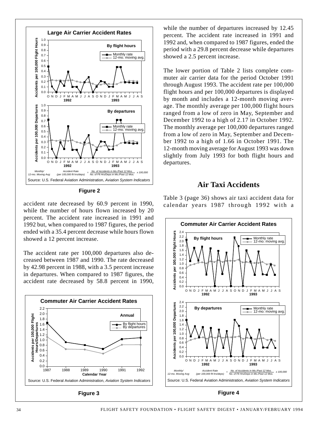

**Figure 2**

accident rate decreased by 60.9 percent in 1990, while the number of hours flown increased by 20 percent. The accident rate increased in 1991 and 1992 but, when compared to 1987 figures, the period ended with a 35.4 percent decrease while hours flown showed a 12 percent increase.

The accident rate per 100,000 departures also decreased between 1987 and 1990. The rate decreased by 42.98 percent in 1988, with a 3.5 percent increase in departures. When compared to 1987 figures, the accident rate decreased by 58.8 percent in 1990,



**Figure 3**

while the number of departures increased by 12.45 percent. The accident rate increased in 1991 and 1992 and, when compared to 1987 figures, ended the period with a 29.8 percent decrease while departures showed a 2.5 percent increase.

The lower portion of Table 2 lists complete commuter air carrier data for the period October 1991 through August 1993. The accident rate per 100,000 flight hours and per 100,000 departures is displayed by month and includes a 12-month moving average. The monthly average per 100,000 flight hours ranged from a low of zero in May, September and December 1992 to a high of 2.17 in October 1992. The monthly average per 100,000 departures ranged from a low of zero in May, September and December 1992 to a high of 1.66 in October 1991. The 12-month moving average for August 1993 was down slightly from July 1993 for both flight hours and departures.

#### **Air Taxi Accidents**

Table 3 (page 36) shows air taxi accident data for calendar years 1987 through 1992 with a

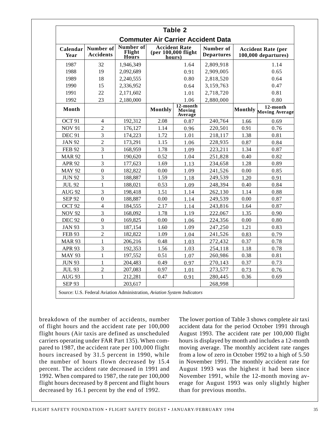| <b>Table 2</b><br><b>Commuter Air Carrier Accident Data</b> |                          |           |                |                               |           |                  |                                    |
|-------------------------------------------------------------|--------------------------|-----------|----------------|-------------------------------|-----------|------------------|------------------------------------|
|                                                             |                          |           |                |                               |           | Calendar<br>Year | Number of<br><b>Accidents</b>      |
| 1987                                                        | 32                       | 1,946,349 |                | 1.64                          | 2,809,918 |                  | 1.14                               |
| 1988                                                        | 19                       | 2,092,689 | 0.91           |                               | 2,909,005 |                  | 0.65                               |
| 1989                                                        | 18                       | 2,240,555 |                | 0.80                          | 2,818,520 |                  | 0.64                               |
| 1990                                                        | 15                       | 2,336,952 |                | 0.64                          | 3,159,763 | 0.47             |                                    |
| 1991                                                        | 22                       | 2,171,602 |                | 1.01                          | 2,718,720 |                  | 0.81                               |
| 1992                                                        | 23                       | 2.180.000 |                | 1.06                          | 2,880,000 |                  | 0.80                               |
| Month                                                       |                          |           | <b>Monthly</b> | 12-month<br>Moving<br>Average |           |                  | 12-month<br>Monthly Moving Average |
| OCT <sub>91</sub>                                           | 4                        | 192,312   | 2.08           | 0.87                          | 240,764   | 1.66             | 0.69                               |
| <b>NOV 91</b>                                               | $\overline{2}$           | 176,127   | 1.14           | 0.96                          | 220,501   | 0.91             | 0.76                               |
| <b>DEC 91</b>                                               | 3                        | 174,223   | 1.72           | 1.01                          | 218,117   | 1.38             | 0.81                               |
| <b>JAN 92</b>                                               | $\overline{c}$           | 173,291   | 1.15           | 1.06                          | 228,935   | 0.87             | 0.84                               |
| <b>FEB 92</b>                                               | 3                        | 168,959   | 1.78           | 1.09                          | 223,211   | 1.34             | 0.87                               |
| <b>MAR 92</b>                                               | $\mathbf{1}$             | 190,620   | 0.52           | 1.04                          | 251,828   | 0.40             | 0.82                               |
| <b>APR 92</b>                                               | 3                        | 177,623   | 1.69           | 1.13                          | 234,658   | 1.28             | 0.89                               |
| <b>MAY 92</b>                                               | $\Omega$                 | 182,822   | 0.00           | 1.09                          | 241,526   | 0.00             | 0.85                               |
| <b>JUN 92</b>                                               | 3                        | 188,887   | 1.59           | 1.18                          | 249,539   | 1.20             | 0.91                               |
| <b>JUL 92</b>                                               | $\mathbf{1}$             | 188,021   | 0.53           | 1.09                          | 248,394   | 0.40             | 0.84                               |
| AUG 92                                                      | 3                        | 198,418   | 1.51           | 1.14                          | 262,130   | 1.14             | 0.88                               |
| <b>SEP 92</b>                                               | $\mathbf{0}$             | 188,887   | 0.00           | 1.14                          | 249,539   | 0.00             | 0.87                               |
| OCT <sub>92</sub>                                           | $\overline{\mathcal{L}}$ | 184,555   | 2.17           | 1.14                          | 243,816   | 1.64             | 0.87                               |
| <b>NOV 92</b>                                               | 3                        | 168,092   | 1.78           | 1.19                          | 222,067   | 1.35             | 0.90                               |
| <b>DEC 92</b>                                               | $\overline{0}$           | 169,825   | 0.00           | 1.06                          | 224,356   | 0.00             | 0.80                               |
| <b>JAN 93</b>                                               | 3                        | 187,154   | 1.60           | 1.09                          | 247,250   | 1.21             | 0.83                               |
| <b>FEB 93</b>                                               | $\overline{c}$           | 182,822   | 1.09           | 1.04                          | 241,526   | 0.83             | 0.79                               |
| <b>MAR 93</b>                                               | $\mathbf{1}$             | 206,216   | 0.48           | 1.03                          | 272,432   | 0.37             | 0.78                               |
| <b>APR 93</b>                                               | 3                        | 192,353   | 1.56           | 1.03                          | 254,118   | 1.18             | 0.78                               |
| <b>MAY 93</b>                                               | 1                        | 197,552   | 0.51           | 1.07                          | 260,986   | 0.38             | 0.81                               |
| <b>JUN 93</b>                                               | 1                        | 204,483   | 0.49           | 0.97                          | 270,143   | 0.37             | 0.73                               |
| <b>JUL 93</b>                                               | $\overline{2}$           | 207,083   | 0.97           | 1.01                          | 273,577   | 0.73             | 0.76                               |
| AUG <sub>93</sub>                                           | 1                        | 212,281   | 0.47           | 0.91                          | 280,445   | 0.36             | 0.69                               |
| <b>SEP 93</b>                                               |                          | 203,617   |                |                               | 268,998   |                  |                                    |

breakdown of the number of accidents, number of flight hours and the accident rate per 100,000 flight hours (Air taxis are defined as unscheduled carriers operating under FAR Part 135). When compared to 1987, the accident rate per 100,000 flight hours increased by 31.5 percent in 1990, while the number of hours flown decreased by 15.4 percent. The accident rate decreased in 1991 and 1992. When compared to 1987, the rate per 100,000 flight hours decreased by 8 percent and flight hours decreased by 16.1 percent by the end of 1992.

The lower portion of Table 3 shows complete air taxi accident data for the period October 1991 through August 1993. The accident rate per 100,000 flight hours is displayed by month and includes a 12-month moving average. The monthly accident rate ranges from a low of zero in October 1992 to a high of 5.50 in November 1991. The monthly accident rate for August 1993 was the highest it had been since November 1991, while the 12-month moving average for August 1993 was only slightly higher than for previous months.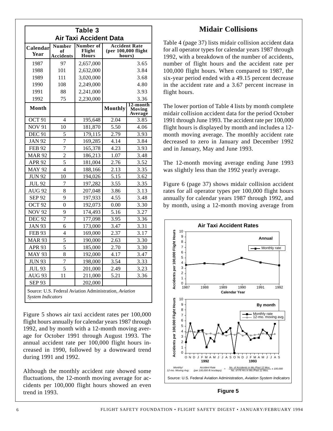| Table 3<br><b>Air Taxi Accident Data</b>                                           |                                         |                                     |                                                         |                                      |  |
|------------------------------------------------------------------------------------|-----------------------------------------|-------------------------------------|---------------------------------------------------------|--------------------------------------|--|
| Calendar<br>Year                                                                   | <b>Number</b><br>of<br><b>Accidents</b> | Number of<br>Flight<br><b>Hours</b> | <b>Accident Rate</b><br>$(per 100,000$ flight<br>hours) |                                      |  |
| 1987                                                                               | 97                                      | 2,657,000                           |                                                         | 3.65                                 |  |
| 1988                                                                               | 101                                     | 2,632,000                           |                                                         | 3.84                                 |  |
| 1989                                                                               | 111                                     | 3,020,000                           |                                                         | 3.68                                 |  |
| 1990                                                                               | 108                                     | 2,249,000                           |                                                         | 4.80                                 |  |
| 1991                                                                               | 88                                      | 2,241,000                           |                                                         | 3.93                                 |  |
| 1992                                                                               | 75                                      | 2,230,000                           |                                                         | 3.36                                 |  |
| <b>Month</b>                                                                       |                                         |                                     | <b>Monthly</b>                                          | 12-month<br><b>Moving</b><br>Average |  |
| OCT 91                                                                             | $\overline{4}$                          | 195,648                             | 2.04                                                    | 3.85                                 |  |
| <b>NOV 91</b>                                                                      | 10                                      | 181,870                             | 5.50                                                    | 4.06                                 |  |
| <b>DEC 91</b>                                                                      | 5                                       | 179,115                             | 2.79                                                    | 3.93                                 |  |
| <b>JAN 92</b>                                                                      | $\overline{7}$                          | 169,285                             | 4.14                                                    | 3.84                                 |  |
| <b>FEB 92</b>                                                                      | $\overline{7}$                          | 165,378                             | 4.23                                                    | 3.93                                 |  |
| <b>MAR 92</b>                                                                      | $\overline{2}$                          | 186,213                             | 1.07                                                    | 3.48                                 |  |
| <b>APR 92</b>                                                                      | 5                                       | 181,004                             | 2.76                                                    | 3.52                                 |  |
| <b>MAY 92</b>                                                                      | $\overline{4}$                          | 188,166                             | 2.13                                                    | 3.35                                 |  |
| <b>JUN 92</b>                                                                      | 10                                      | 194,026                             | 5.15                                                    | 3.62                                 |  |
| <b>JUL 92</b>                                                                      | 7                                       | 197,282                             | 3.55                                                    | 3.35                                 |  |
| <b>AUG 92</b>                                                                      | 8                                       | 207,048                             | 3.86                                                    | 3.13                                 |  |
| <b>SEP 92</b>                                                                      | 9                                       | 197,933                             | 4.55                                                    | 3.48                                 |  |
| OCT <sub>92</sub>                                                                  | $\boldsymbol{0}$                        | 192,073                             | 0.00                                                    | 3.30                                 |  |
| <b>NOV 92</b>                                                                      | 9                                       | 174,493                             | 5.16                                                    | 3.27                                 |  |
| <b>DEC 92</b>                                                                      | 7                                       | 177,098                             | 3.95                                                    | 3.36                                 |  |
| <b>JAN 93</b>                                                                      | 6                                       | 173,000                             | 3.47                                                    | 3.31                                 |  |
| <b>FEB 93</b>                                                                      | 4                                       | 169,000                             | 2.37                                                    | 3.17                                 |  |
| <b>MAR 93</b>                                                                      | $\overline{5}$                          | 190,000                             | 2.63                                                    | 3.30                                 |  |
| <b>APR 93</b>                                                                      | 5                                       | 185,000                             | 2.70                                                    | 3.30                                 |  |
| <b>MAY 93</b>                                                                      | 8                                       | 192,000                             | 4.17                                                    | 3.47                                 |  |
| <b>JUN 93</b>                                                                      | $\overline{7}$                          | 198,000                             | 3.54                                                    | 3.33                                 |  |
| <b>JUL 93</b>                                                                      | 5                                       | 201,000                             | 2.49                                                    | 3.23                                 |  |
| AUG <sub>93</sub>                                                                  | 11                                      | 211,000                             | 5.21                                                    | 3.36                                 |  |
| <b>SEP 93</b><br>202,000                                                           |                                         |                                     |                                                         |                                      |  |
| Source: U.S. Federal Aviation Administration, Aviation<br><b>System Indicators</b> |                                         |                                     |                                                         |                                      |  |

Figure 5 shows air taxi accident rates per 100,000 flight hours annually for calendar years 1987 through 1992, and by month with a 12-month moving average for October 1991 through August 1993. The annual accident rate per 100,000 flight hours increased in 1990, followed by a downward trend during 1991 and 1992.

Although the monthly accident rate showed some fluctuations, the 12-month moving average for accidents per 100,000 flight hours showed an even trend in 1993.

### **Midair Collisions**

Table 4 (page 37) lists midair collision accident data for all operator types for calendar years 1987 through 1992, with a breakdown of the number of accidents, number of flight hours and the accident rate per 100,000 flight hours. When compared to 1987, the six-year period ended with a 49.15 percent decrease in the accident rate and a 3.67 percent increase in flight hours.

The lower portion of Table 4 lists by month complete midair collision accident data for the period October 1991 through June 1993. The accident rate per 100,000 flight hours is displayed by month and includes a 12 month moving average. The monthly accident rate decreased to zero in January and December 1992 and in January, May and June 1993.

The 12-month moving average ending June 1993 was slightly less than the 1992 yearly average.

Figure 6 (page 37) shows midair collision accident rates for all operator types per 100,000 flight hours annually for calendar years 1987 through 1992, and by month, using a 12-month moving average from

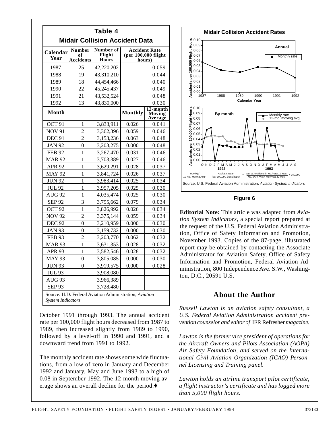| Table 4                               |                                         |                                     |                                                         |                                      |  |
|---------------------------------------|-----------------------------------------|-------------------------------------|---------------------------------------------------------|--------------------------------------|--|
| <b>Midair Collision Accident Data</b> |                                         |                                     |                                                         |                                      |  |
| Calendar<br>Year                      | <b>Number</b><br>of<br><b>Accidents</b> | Number of<br>Flight<br><b>Hours</b> | <b>Accident Rate</b><br>(per $100,000$ flight<br>hours) |                                      |  |
| 1987                                  | 25                                      | 42,220,202                          |                                                         | 0.059                                |  |
| 1988                                  | 19                                      | 43,310,210                          |                                                         | 0.044                                |  |
| 1989                                  | 18                                      | 44,454,466                          |                                                         | 0.040                                |  |
| 1990                                  | 22                                      | 45,245,437                          |                                                         | 0.049                                |  |
| 1991                                  | 21                                      | 43,532,524                          |                                                         | 0.048                                |  |
| 1992                                  | 13                                      | 43,830,000                          |                                                         | 0.030                                |  |
| Month                                 |                                         |                                     | <b>Monthly</b>                                          | 12-month<br><b>Moving</b><br>Average |  |
| OCT <sub>91</sub>                     | 1                                       | 3,833,911                           | 0.026                                                   | 0.041                                |  |
| <b>NOV 91</b>                         | $\overline{2}$                          | 3,362,396                           | 0.059                                                   | 0.046                                |  |
| <b>DEC 91</b>                         | $\overline{2}$                          | 3,153,236                           | 0.063                                                   | 0.048                                |  |
| <b>JAN 92</b>                         | 0                                       | 3,203,275                           | 0.000                                                   | 0.048                                |  |
| <b>FEB 92</b>                         | 1                                       | 3,267,470                           | 0.031                                                   | 0.046                                |  |
| <b>MAR 92</b>                         | 1                                       | 3,703,389                           | 0.027                                                   | 0.046                                |  |
| <b>APR 92</b>                         | 1                                       | 3,629,291                           | 0.028                                                   | 0.037                                |  |
| <b>MAY 92</b>                         | 1                                       | 3,841,724                           | 0.026                                                   | 0.037                                |  |
| <b>JUN 92</b>                         | 1                                       | 3,983,414                           | 0.025                                                   | 0.034                                |  |
| <b>JUL 92</b>                         | 1                                       | 3,957,205                           | 0.025                                                   | 0.030                                |  |
| <b>AUG 92</b>                         | 1                                       | 4,035,474                           | 0.025                                                   | 0.030                                |  |
| <b>SEP 92</b>                         | 3                                       | 3,795,662                           | 0.079                                                   | 0.034                                |  |
| OCT <sub>92</sub>                     | 1                                       | 3,826,992                           | 0.026                                                   | 0.034                                |  |
| <b>NOV 92</b>                         | $\mathfrak{D}$                          | 3,375,144                           | 0.059                                                   | 0.034                                |  |
| $DEC$ 92                              | 0                                       | 3,210,959                           | 0.000                                                   | 0.030                                |  |
| <b>JAN 93</b>                         | $\theta$                                | 3,159,732                           | 0.000                                                   | 0.030                                |  |
| <b>FEB 93</b>                         | 2                                       | 3,203,770                           | 0.062                                                   | 0.032                                |  |
| <b>MAR 93</b>                         | 1                                       | 3,631,353                           | 0.028                                                   | 0.032                                |  |
| <b>APR 93</b>                         | 1                                       | 3,582,546                           | 0.028                                                   | 0.032                                |  |
| <b>MAY 93</b>                         | $\theta$                                | 3,805,085                           | 0.000                                                   | 0.030                                |  |
| <b>JUN 93</b>                         | $\overline{0}$                          | 3,919,575                           | 0.000                                                   | 0.028                                |  |
| <b>JUL 93</b>                         |                                         | 3,908,080                           |                                                         |                                      |  |
| AUG <sub>93</sub>                     |                                         | 3,966,389                           |                                                         |                                      |  |
| <b>SEP 93</b>                         |                                         | 3,728,480                           |                                                         |                                      |  |

October 1991 through 1993. The annual accident rate per 100,000 flight hours decreased from 1987 to 1989, then increased slightly from 1989 to 1990, followed by a level-off in 1990 and 1991, and a downward trend from 1991 to 1992.

The monthly accident rate shows some wide fluctuations, from a low of zero in January and December 1992 and January, May and June 1993 to a high of 0.08 in September 1992. The 12-month moving average shows an overall decline for the period.♦



**Figure 6**

**Editorial Note:** This article was adapted from *Aviation System Indicators*, a special report prepared at the request of the U.S. Federal Aviation Administration, Office of Safety Information and Promotion, November 1993. Copies of the 87-page, illustrated report may be obtained by contacting the Associate Administrator for Aviation Safety, Office of Safety Information and Promotion, Federal Aviation Administration, 800 Independence Ave. S.W., Washington, D.C., 20591 U.S.

### **About the Author**

*Russell Lawton is an aviation safety consultant, a U.S. Federal Aviation Administration accident prevention counselor and editor of* IFR Refresher *magazine.*

*Lawton is the former vice president of operations for the Aircraft Owners and Pilots Association (AOPA) Air Safety Foundation, and served on the International Civil Aviation Organization (ICAO) Personnel Licensing and Training panel.*

*Lawton holds an airline transport pilot certificate, a flight instructor's certificate and has logged more than 5,000 flight hours.*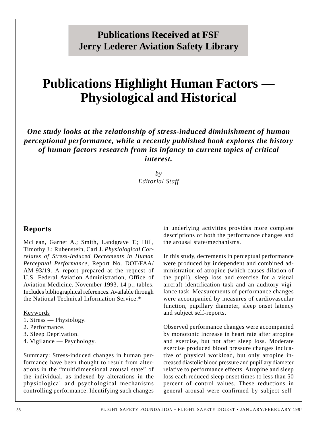## **Publications Received at FSF Jerry Lederer Aviation Safety Library**

## **Publications Highlight Human Factors — Physiological and Historical**

*One study looks at the relationship of stress-induced diminishment of human perceptional performance, while a recently published book explores the history of human factors research from its infancy to current topics of critical interest.*

> *by Editorial Staff*

#### **Reports**

McLean, Garnet A.; Smith, Landgrave T.; Hill, Timothy J.; Rubenstein, Carl J. *Physiological Correlates of Stress-Induced Decrements in Human Perceptual Performance*, Report No. DOT/FAA/ AM-93/19. A report prepared at the request of U.S. Federal Aviation Administration, Office of Aviation Medicine. November 1993. 14 p.; tables. Includes bibliographical references. Available through the National Technical Information Service.\*

Keywords

- 1. Stress Physiology.
- 2. Performance.
- 3. Sleep Deprivation.
- 4. Vigilance Psychology.

Summary: Stress-induced changes in human performance have been thought to result from alterations in the "multidimensional arousal state" of the individual, as indexed by alterations in the physiological and psychological mechanisms controlling performance. Identifying such changes

in underlying activities provides more complete descriptions of both the performance changes and the arousal state/mechanisms.

In this study, decrements in perceptual performance were produced by independent and combined administration of atropine (which causes dilation of the pupil), sleep loss and exercise for a visual aircraft identification task and an auditory vigilance task. Measurements of performance changes were accompanied by measures of cardiovascular function, pupillary diameter, sleep onset latency and subject self-reports.

Observed performance changes were accompanied by monotonic increase in heart rate after atropine and exercise, but not after sleep loss. Moderate exercise produced blood pressure changes indicative of physical workload, but only atropine increased diastolic blood pressure and pupillary diameter relative to performance effects. Atropine and sleep loss each reduced sleep onset times to less than 50 percent of control values. These reductions in general arousal were confirmed by subject self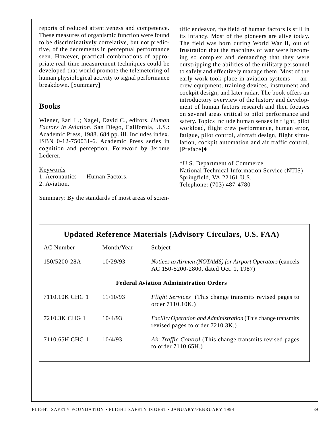reports of reduced attentiveness and competence. These measures of organismic function were found to be discriminatively correlative, but not predictive, of the decrements in perceptual performance seen. However, practical combinations of appropriate real-time measurement techniques could be developed that would promote the telemetering of human physiological activity to signal performance breakdown. [Summary]

#### **Books**

Wiener, Earl L.; Nagel, David C., editors. *Human Factors in Aviation*. San Diego, California, U.S.: Academic Press, 1988. 684 pp. ill. Includes index. ISBN 0-12-750031-6. Academic Press series in cognition and perception. Foreword by Jerome Lederer.

Keywords 1. Aeronautics — Human Factors. 2. Aviation.

Summary: By the standards of most areas of scien-

tific endeavor, the field of human factors is still in its infancy. Most of the pioneers are alive today. The field was born during World War II, out of frustration that the machines of war were becoming so complex and demanding that they were outstripping the abilities of the military personnel to safely and effectively manage them. Most of the early work took place in aviation systems — aircrew equipment, training devices, instrument and cockpit design, and later radar. The book offers an introductory overview of the history and development of human factors research and then focuses on several areas critical to pilot performance and safety. Topics include human senses in flight, pilot workload, flight crew performance, human error, fatigue, pilot control, aircraft design, flight simulation, cockpit automation and air traffic control. [Preface]♦

\*U.S. Department of Commerce National Technical Information Service (NTIS) Springfield, VA 22161 U.S. Telephone: (703) 487-4780

| <b>Updated Reference Materials (Advisory Circulars, U.S. FAA)</b> |            |                                                                                                          |  |  |  |
|-------------------------------------------------------------------|------------|----------------------------------------------------------------------------------------------------------|--|--|--|
| <b>AC</b> Number                                                  | Month/Year | Subject                                                                                                  |  |  |  |
| 150/5200-28A                                                      | 10/29/93   | Notices to Airmen (NOTAMS) for Airport Operators (cancels<br>AC 150-5200-2800, dated Oct. 1, 1987)       |  |  |  |
| <b>Federal Aviation Administration Orders</b>                     |            |                                                                                                          |  |  |  |
| 7110.10K CHG 1                                                    | 11/10/93   | Flight Services (This change transmits revised pages to<br>order 7110.10K.)                              |  |  |  |
| 7210.3K CHG 1                                                     | 10/4/93    | <i>Facility Operation and Administration</i> (This change transmits)<br>revised pages to order 7210.3K.) |  |  |  |
| 7110.65H CHG 1                                                    | 10/4/93    | Air Traffic Control (This change transmits revised pages<br>to order 7110.65H.)                          |  |  |  |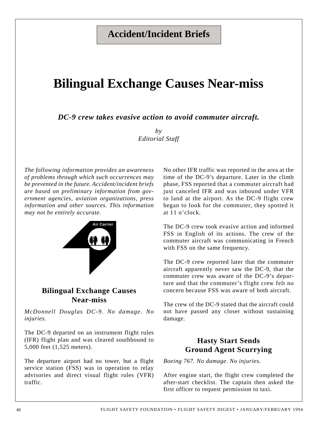## **Accident/Incident Briefs**

## **Bilingual Exchange Causes Near-miss**

*DC-9 crew takes evasive action to avoid commuter aircraft.*

*by Editorial Staff*

*The following information provides an awareness of problems through which such occurrences may be prevented in the future. Accident/incident briefs are based on preliminary information from government agencies, aviation organizations, press information and other sources. This information may not be entirely accurate.*



### **Bilingual Exchange Causes Near-miss**

*McDonnell Douglas DC-9. No damage. No injuries.*

The DC-9 departed on an instrument flight rules (IFR) flight plan and was cleared southbound to 5,000 feet (1,525 meters).

The departure airport had no tower, but a flight service station (FSS) was in operation to relay advisories and direct visual flight rules (VFR) traffic.

No other IFR traffic was reported in the area at the time of the DC-9's departure. Later in the climb phase, FSS reported that a commuter aircraft had just canceled IFR and was inbound under VFR to land at the airport. As the DC-9 flight crew began to look for the commuter, they spotted it at 11 o'clock.

The DC-9 crew took evasive action and informed FSS in English of its actions. The crew of the commuter aircraft was communicating in French with FSS on the same frequency.

The DC-9 crew reported later that the commuter aircraft apparently never saw the DC-9, that the commuter crew was aware of the DC-9's departure and that the commuter's flight crew felt no concern because FSS was aware of both aircraft.

The crew of the DC-9 stated that the aircraft could not have passed any closer without sustaining damage.

### **Hasty Start Sends Ground Agent Scurrying**

*Boeing 767. No damage. No injuries.*

After engine start, the flight crew completed the after-start checklist. The captain then asked the first officer to request permission to taxi.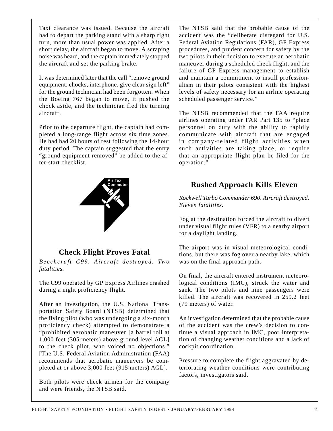Taxi clearance was issued. Because the aircraft had to depart the parking stand with a sharp right turn, more than usual power was applied. After a short delay, the aircraft began to move. A scraping noise was heard, and the captain immediately stopped the aircraft and set the parking brake.

It was determined later that the call "remove ground equipment, chocks, interphone, give clear sign left" for the ground technician had been forgotten. When the Boeing 767 began to move, it pushed the chock aside, and the technician fled the turning aircraft.

Prior to the departure flight, the captain had completed a long-range flight across six time zones. He had had 20 hours of rest following the 14-hour duty period. The captain suggested that the entry "ground equipment removed" be added to the after-start checklist.



### **Check Flight Proves Fatal**

*Beechcraft C99. Aircraft destroyed. Two fatalities.*

The C99 operated by GP Express Airlines crashed during a night proficiency flight.

After an investigation, the U.S. National Transportation Safety Board (NTSB) determined that the flying pilot (who was undergoing a six-month proficiency check) attempted to demonstrate a "prohibited aerobatic maneuver [a barrel roll at 1,000 feet (305 meters) above ground level AGL] to the check pilot, who voiced no objections." [The U.S. Federal Aviation Administration (FAA) recommends that aerobatic maneuvers be completed at or above 3,000 feet (915 meters) AGL].

Both pilots were check airmen for the company and were friends, the NTSB said.

The NTSB said that the probable cause of the accident was the "deliberate disregard for U.S. Federal Aviation Regulations (FAR), GP Express procedures, and prudent concern for safety by the two pilots in their decision to execute an aerobatic maneuver during a scheduled check flight, and the failure of GP Express management to establish and maintain a commitment to instill professionalism in their pilots consistent with the highest levels of safety necessary for an airline operating scheduled passenger service."

The NTSB recommended that the FAA require airlines operating under FAR Part 135 to "place personnel on duty with the ability to rapidly communicate with aircraft that are engaged in company-related flight activities when such activities are taking place, or require that an appropriate flight plan be filed for the operation."

### **Rushed Approach Kills Eleven**

*Rockwell Turbo Commander 690. Aircraft destroyed. Eleven fatalities.*

Fog at the destination forced the aircraft to divert under visual flight rules (VFR) to a nearby airport for a daylight landing.

The airport was in visual meteorological conditions, but there was fog over a nearby lake, which was on the final approach path.

On final, the aircraft entered instrument meteorological conditions (IMC), struck the water and sank. The two pilots and nine passengers were killed. The aircraft was recovered in 259.2 feet (79 meters) of water.

An investigation determined that the probable cause of the accident was the crew's decision to continue a visual approach in IMC, poor interpretation of changing weather conditions and a lack of cockpit coordination.

Pressure to complete the flight aggravated by deteriorating weather conditions were contributing factors, investigators said.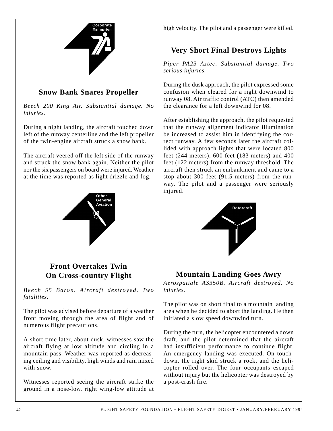

### **Snow Bank Snares Propeller**

*Beech 200 King Air. Substantial damage. No injuries.*

During a night landing, the aircraft touched down left of the runway centerline and the left propeller of the twin-engine aircraft struck a snow bank.

The aircraft veered off the left side of the runway and struck the snow bank again. Neither the pilot nor the six passengers on board were injured. Weather at the time was reported as light drizzle and fog.



### high velocity. The pilot and a passenger were killed.

### **Very Short Final Destroys Lights**

*Piper PA23 Aztec. Substantial damage. Two serious injuries.*

During the dusk approach, the pilot expressed some confusion when cleared for a right downwind to runway 08. Air traffic control (ATC) then amended the clearance for a left downwind for 08.

After establishing the approach, the pilot requested that the runway alignment indicator illumination be increased to assist him in identifying the correct runway. A few seconds later the aircraft collided with approach lights that were located 800 feet (244 meters), 600 feet (183 meters) and 400 feet (122 meters) from the runway threshold. The aircraft then struck an embankment and came to a stop about 300 feet (91.5 meters) from the runway. The pilot and a passenger were seriously injured.



### **Mountain Landing Goes Awry**

*Aerospatiale AS350B. Aircraft destroyed. No injuries.*

The pilot was on short final to a mountain landing area when he decided to abort the landing. He then initiated a slow speed downwind turn.

During the turn, the helicopter encountered a down draft, and the pilot determined that the aircraft had insufficient performance to continue flight. An emergency landing was executed. On touchdown, the right skid struck a rock, and the helicopter rolled over. The four occupants escaped without injury but the helicopter was destroyed by a post-crash fire.

### **Front Overtakes Twin On Cross-country Flight**

*Beech 55 Baron. Aircraft destroyed. Two fatalities.*

The pilot was advised before departure of a weather front moving through the area of flight and of numerous flight precautions.

A short time later, about dusk, witnesses saw the aircraft flying at low altitude and circling in a mountain pass. Weather was reported as decreasing ceiling and visibility, high winds and rain mixed with snow.

Witnesses reported seeing the aircraft strike the ground in a nose-low, right wing-low attitude at